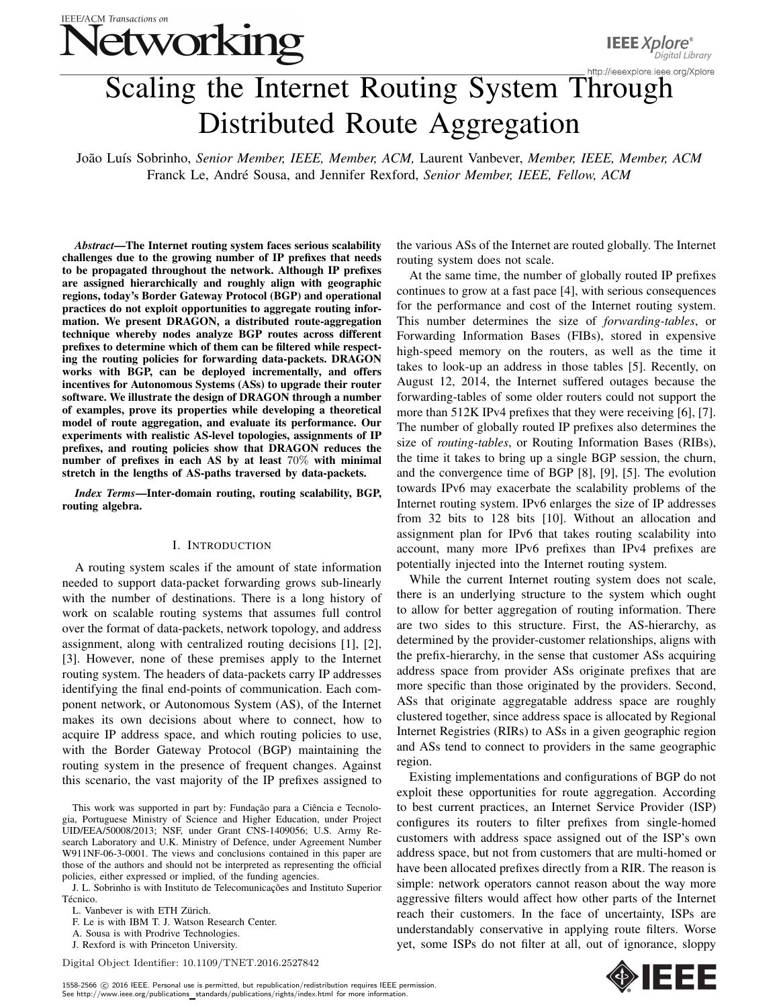# IEEE/ACM Transactions on letworking

# Scaling the Internet Routing System Through Distributed Route Aggregation

João Luís Sobrinho, *Senior Member, IEEE, Member, ACM, Laurent Vanbever, Member, IEEE, Member, ACM* Franck Le, André Sousa, and Jennifer Rexford, Senior Member, IEEE, Fellow, ACM

*Abstract*—The Internet routing system faces serious scalability challenges due to the growing number of IP prefixes that needs to be propagated throughout the network. Although IP prefixes are assigned hierarchically and roughly align with geographic regions, today's Border Gateway Protocol (BGP) and operational practices do not exploit opportunities to aggregate routing information. We present DRAGON, a distributed route-aggregation technique whereby nodes analyze BGP routes across different prefixes to determine which of them can be filtered while respecting the routing policies for forwarding data-packets. DRAGON works with BGP, can be deployed incrementally, and offers incentives for Autonomous Systems (ASs) to upgrade their router software. We illustrate the design of DRAGON through a number of examples, prove its properties while developing a theoretical model of route aggregation, and evaluate its performance. Our experiments with realistic AS-level topologies, assignments of IP prefixes, and routing policies show that DRAGON reduces the number of prefixes in each AS by at least 70% with minimal stretch in the lengths of AS-paths traversed by data-packets.

*Index Terms*—Inter-domain routing, routing scalability, BGP, routing algebra.

# I. INTRODUCTION

A routing system scales if the amount of state information needed to support data-packet forwarding grows sub-linearly with the number of destinations. There is a long history of work on scalable routing systems that assumes full control over the format of data-packets, network topology, and address assignment, along with centralized routing decisions [1], [2], [3]. However, none of these premises apply to the Internet routing system. The headers of data-packets carry IP addresses identifying the final end-points of communication. Each component network, or Autonomous System (AS), of the Internet makes its own decisions about where to connect, how to acquire IP address space, and which routing policies to use, with the Border Gateway Protocol (BGP) maintaining the routing system in the presence of frequent changes. Against this scenario, the vast majority of the IP prefixes assigned to

This work was supported in part by: Fundação para a Ciência e Tecnologia, Portuguese Ministry of Science and Higher Education, under Project UID/EEA/50008/2013; NSF, under Grant CNS-1409056; U.S. Army Research Laboratory and U.K. Ministry of Defence, under Agreement Number W911NF-06-3-0001. The views and conclusions contained in this paper are those of the authors and should not be interpreted as representing the official policies, either expressed or implied, of the funding agencies.

J. L. Sobrinho is with Instituto de Telecomunicações and Instituto Superior Técnico.

L. Vanbever is with ETH Zürich.

F. Le is with IBM T. J. Watson Research Center.

J. Rexford is with Princeton University.

Digital Object Identifier: 10.1109/TNET.2016.2527842

the various ASs of the Internet are routed globally. The Internet routing system does not scale.

At the same time, the number of globally routed IP prefixes continues to grow at a fast pace [4], with serious consequences for the performance and cost of the Internet routing system. This number determines the size of *forwarding-tables*, or Forwarding Information Bases (FIBs), stored in expensive high-speed memory on the routers, as well as the time it takes to look-up an address in those tables [5]. Recently, on August 12, 2014, the Internet suffered outages because the forwarding-tables of some older routers could not support the more than 512K IPv4 prefixes that they were receiving [6], [7]. The number of globally routed IP prefixes also determines the size of *routing-tables*, or Routing Information Bases (RIBs), the time it takes to bring up a single BGP session, the churn, and the convergence time of BGP [8], [9], [5]. The evolution towards IPv6 may exacerbate the scalability problems of the Internet routing system. IPv6 enlarges the size of IP addresses from 32 bits to 128 bits [10]. Without an allocation and assignment plan for IPv6 that takes routing scalability into account, many more IPv6 prefixes than IPv4 prefixes are potentially injected into the Internet routing system.

While the current Internet routing system does not scale, there is an underlying structure to the system which ought to allow for better aggregation of routing information. There are two sides to this structure. First, the AS-hierarchy, as determined by the provider-customer relationships, aligns with the prefix-hierarchy, in the sense that customer ASs acquiring address space from provider ASs originate prefixes that are more specific than those originated by the providers. Second, ASs that originate aggregatable address space are roughly clustered together, since address space is allocated by Regional Internet Registries (RIRs) to ASs in a given geographic region and ASs tend to connect to providers in the same geographic region.

Existing implementations and configurations of BGP do not exploit these opportunities for route aggregation. According to best current practices, an Internet Service Provider (ISP) configures its routers to filter prefixes from single-homed customers with address space assigned out of the ISP's own address space, but not from customers that are multi-homed or have been allocated prefixes directly from a RIR. The reason is simple: network operators cannot reason about the way more aggressive filters would affect how other parts of the Internet reach their customers. In the face of uncertainty, ISPs are understandably conservative in applying route filters. Worse yet, some ISPs do not filter at all, out of ignorance, sloppy



1558-2566 © 2016 IEEE. Personal use is permitted, but republication/redistribution requires IEEE permission. See http://www.ieee.org/publications\_standards/publications/rights/index.html for more information.

A. Sousa is with Prodrive Technologies.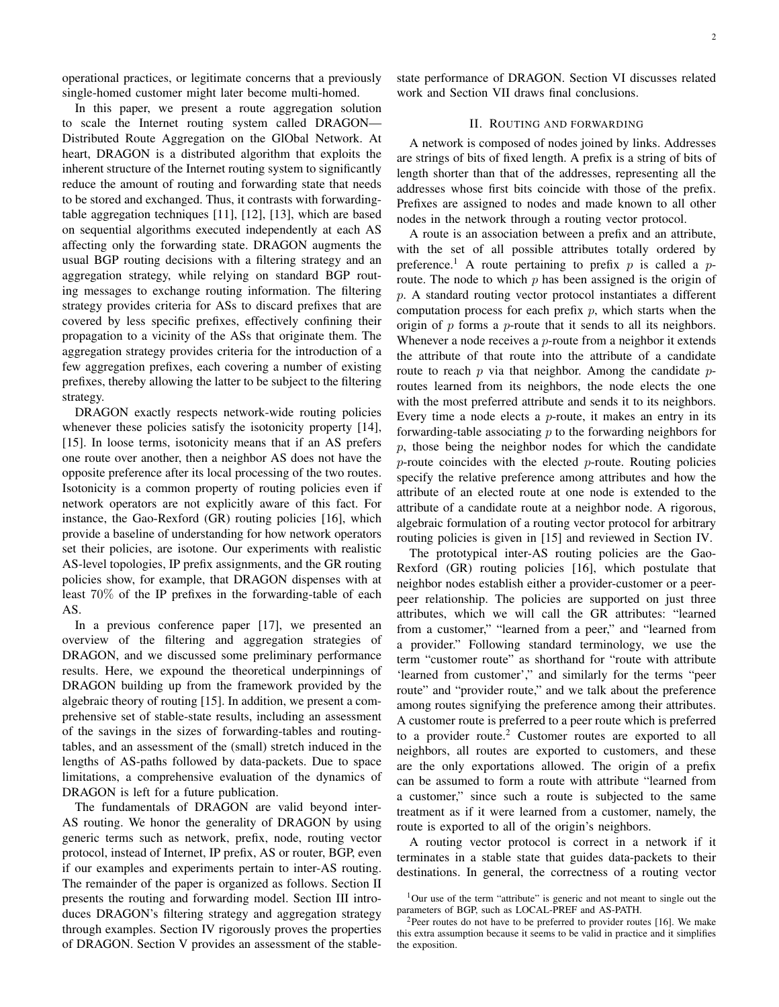operational practices, or legitimate concerns that a previously single-homed customer might later become multi-homed.

In this paper, we present a route aggregation solution to scale the Internet routing system called DRAGON— Distributed Route Aggregation on the GlObal Network. At heart, DRAGON is a distributed algorithm that exploits the inherent structure of the Internet routing system to significantly reduce the amount of routing and forwarding state that needs to be stored and exchanged. Thus, it contrasts with forwardingtable aggregation techniques [11], [12], [13], which are based on sequential algorithms executed independently at each AS affecting only the forwarding state. DRAGON augments the usual BGP routing decisions with a filtering strategy and an aggregation strategy, while relying on standard BGP routing messages to exchange routing information. The filtering strategy provides criteria for ASs to discard prefixes that are covered by less specific prefixes, effectively confining their propagation to a vicinity of the ASs that originate them. The aggregation strategy provides criteria for the introduction of a few aggregation prefixes, each covering a number of existing prefixes, thereby allowing the latter to be subject to the filtering strategy.

DRAGON exactly respects network-wide routing policies whenever these policies satisfy the isotonicity property [14], [15]. In loose terms, isotonicity means that if an AS prefers one route over another, then a neighbor AS does not have the opposite preference after its local processing of the two routes. Isotonicity is a common property of routing policies even if network operators are not explicitly aware of this fact. For instance, the Gao-Rexford (GR) routing policies [16], which provide a baseline of understanding for how network operators set their policies, are isotone. Our experiments with realistic AS-level topologies, IP prefix assignments, and the GR routing policies show, for example, that DRAGON dispenses with at least 70% of the IP prefixes in the forwarding-table of each AS.

In a previous conference paper [17], we presented an overview of the filtering and aggregation strategies of DRAGON, and we discussed some preliminary performance results. Here, we expound the theoretical underpinnings of DRAGON building up from the framework provided by the algebraic theory of routing [15]. In addition, we present a comprehensive set of stable-state results, including an assessment of the savings in the sizes of forwarding-tables and routingtables, and an assessment of the (small) stretch induced in the lengths of AS-paths followed by data-packets. Due to space limitations, a comprehensive evaluation of the dynamics of DRAGON is left for a future publication.

The fundamentals of DRAGON are valid beyond inter-AS routing. We honor the generality of DRAGON by using generic terms such as network, prefix, node, routing vector protocol, instead of Internet, IP prefix, AS or router, BGP, even if our examples and experiments pertain to inter-AS routing. The remainder of the paper is organized as follows. Section II presents the routing and forwarding model. Section III introduces DRAGON's filtering strategy and aggregation strategy through examples. Section IV rigorously proves the properties of DRAGON. Section V provides an assessment of the stablestate performance of DRAGON. Section VI discusses related work and Section VII draws final conclusions.

# II. ROUTING AND FORWARDING

A network is composed of nodes joined by links. Addresses are strings of bits of fixed length. A prefix is a string of bits of length shorter than that of the addresses, representing all the addresses whose first bits coincide with those of the prefix. Prefixes are assigned to nodes and made known to all other nodes in the network through a routing vector protocol.

A route is an association between a prefix and an attribute, with the set of all possible attributes totally ordered by preference.<sup>1</sup> A route pertaining to prefix p is called a proute. The node to which  $p$  has been assigned is the origin of p. A standard routing vector protocol instantiates a different computation process for each prefix  $p$ , which starts when the origin of  $p$  forms a  $p$ -route that it sends to all its neighbors. Whenever a node receives a  $p$ -route from a neighbor it extends the attribute of that route into the attribute of a candidate route to reach  $p$  via that neighbor. Among the candidate  $p$ routes learned from its neighbors, the node elects the one with the most preferred attribute and sends it to its neighbors. Every time a node elects a  $p$ -route, it makes an entry in its forwarding-table associating  $p$  to the forwarding neighbors for  $p$ , those being the neighbor nodes for which the candidate  $p$ -route coincides with the elected  $p$ -route. Routing policies specify the relative preference among attributes and how the attribute of an elected route at one node is extended to the attribute of a candidate route at a neighbor node. A rigorous, algebraic formulation of a routing vector protocol for arbitrary routing policies is given in [15] and reviewed in Section IV.

The prototypical inter-AS routing policies are the Gao-Rexford (GR) routing policies [16], which postulate that neighbor nodes establish either a provider-customer or a peerpeer relationship. The policies are supported on just three attributes, which we will call the GR attributes: "learned from a customer," "learned from a peer," and "learned from a provider." Following standard terminology, we use the term "customer route" as shorthand for "route with attribute 'learned from customer'," and similarly for the terms "peer route" and "provider route," and we talk about the preference among routes signifying the preference among their attributes. A customer route is preferred to a peer route which is preferred to a provider route.<sup>2</sup> Customer routes are exported to all neighbors, all routes are exported to customers, and these are the only exportations allowed. The origin of a prefix can be assumed to form a route with attribute "learned from a customer," since such a route is subjected to the same treatment as if it were learned from a customer, namely, the route is exported to all of the origin's neighbors.

A routing vector protocol is correct in a network if it terminates in a stable state that guides data-packets to their destinations. In general, the correctness of a routing vector

 $1$ Our use of the term "attribute" is generic and not meant to single out the parameters of BGP, such as LOCAL-PREF and AS-PATH.

<sup>&</sup>lt;sup>2</sup>Peer routes do not have to be preferred to provider routes [16]. We make this extra assumption because it seems to be valid in practice and it simplifies the exposition.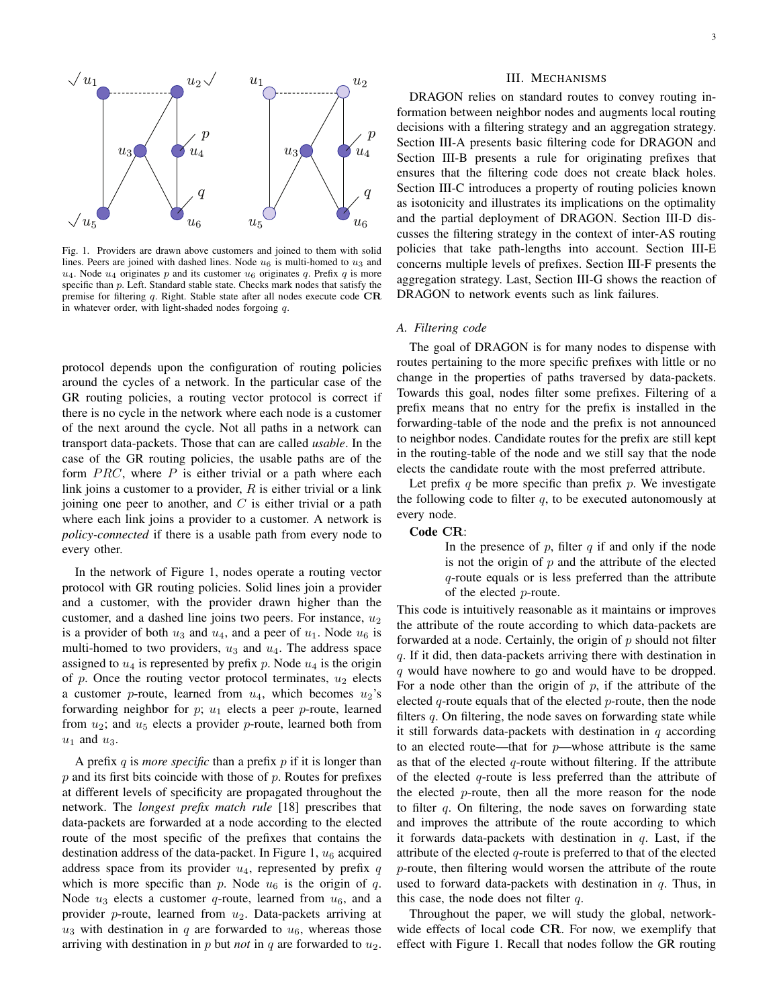

Fig. 1. Providers are drawn above customers and joined to them with solid lines. Peers are joined with dashed lines. Node  $u_6$  is multi-homed to  $u_3$  and  $u_4$ . Node  $u_4$  originates p and its customer  $u_6$  originates q. Prefix q is more specific than p. Left. Standard stable state. Checks mark nodes that satisfy the premise for filtering q. Right. Stable state after all nodes execute code CR in whatever order, with light-shaded nodes forgoing q.

protocol depends upon the configuration of routing policies around the cycles of a network. In the particular case of the GR routing policies, a routing vector protocol is correct if there is no cycle in the network where each node is a customer of the next around the cycle. Not all paths in a network can transport data-packets. Those that can are called *usable*. In the case of the GR routing policies, the usable paths are of the form  $PRC$ , where P is either trivial or a path where each link joins a customer to a provider,  $R$  is either trivial or a link joining one peer to another, and  $C$  is either trivial or a path where each link joins a provider to a customer. A network is *policy-connected* if there is a usable path from every node to every other.

In the network of Figure 1, nodes operate a routing vector protocol with GR routing policies. Solid lines join a provider and a customer, with the provider drawn higher than the customer, and a dashed line joins two peers. For instance,  $u_2$ is a provider of both  $u_3$  and  $u_4$ , and a peer of  $u_1$ . Node  $u_6$  is multi-homed to two providers,  $u_3$  and  $u_4$ . The address space assigned to  $u_4$  is represented by prefix p. Node  $u_4$  is the origin of  $p$ . Once the routing vector protocol terminates,  $u_2$  elects a customer *p*-route, learned from  $u_4$ , which becomes  $u_2$ 's forwarding neighbor for  $p$ ;  $u_1$  elects a peer  $p$ -route, learned from  $u_2$ ; and  $u_5$  elects a provider p-route, learned both from  $u_1$  and  $u_3$ .

A prefix  $q$  is *more specific* than a prefix  $p$  if it is longer than  $p$  and its first bits coincide with those of  $p$ . Routes for prefixes at different levels of specificity are propagated throughout the network. The *longest prefix match rule* [18] prescribes that data-packets are forwarded at a node according to the elected route of the most specific of the prefixes that contains the destination address of the data-packet. In Figure 1,  $u_6$  acquired address space from its provider  $u_4$ , represented by prefix q which is more specific than p. Node  $u_6$  is the origin of q. Node  $u_3$  elects a customer q-route, learned from  $u_6$ , and a provider *p*-route, learned from  $u_2$ . Data-packets arriving at  $u_3$  with destination in q are forwarded to  $u_6$ , whereas those arriving with destination in  $p$  but *not* in  $q$  are forwarded to  $u_2$ .

# III. MECHANISMS

DRAGON relies on standard routes to convey routing information between neighbor nodes and augments local routing decisions with a filtering strategy and an aggregation strategy. Section III-A presents basic filtering code for DRAGON and Section III-B presents a rule for originating prefixes that ensures that the filtering code does not create black holes. Section III-C introduces a property of routing policies known as isotonicity and illustrates its implications on the optimality and the partial deployment of DRAGON. Section III-D discusses the filtering strategy in the context of inter-AS routing policies that take path-lengths into account. Section III-E concerns multiple levels of prefixes. Section III-F presents the aggregation strategy. Last, Section III-G shows the reaction of DRAGON to network events such as link failures.

#### *A. Filtering code*

The goal of DRAGON is for many nodes to dispense with routes pertaining to the more specific prefixes with little or no change in the properties of paths traversed by data-packets. Towards this goal, nodes filter some prefixes. Filtering of a prefix means that no entry for the prefix is installed in the forwarding-table of the node and the prefix is not announced to neighbor nodes. Candidate routes for the prefix are still kept in the routing-table of the node and we still say that the node elects the candidate route with the most preferred attribute.

Let prefix q be more specific than prefix  $p$ . We investigate the following code to filter  $q$ , to be executed autonomously at every node.

# Code CR:

In the presence of  $p$ , filter  $q$  if and only if the node is not the origin of  $p$  and the attribute of the elected q-route equals or is less preferred than the attribute of the elected p-route.

This code is intuitively reasonable as it maintains or improves the attribute of the route according to which data-packets are forwarded at a node. Certainly, the origin of  $p$  should not filter q. If it did, then data-packets arriving there with destination in q would have nowhere to go and would have to be dropped. For a node other than the origin of  $p$ , if the attribute of the elected q-route equals that of the elected  $p$ -route, then the node filters  $q$ . On filtering, the node saves on forwarding state while it still forwards data-packets with destination in  $q$  according to an elected route—that for  $p$ —whose attribute is the same as that of the elected  $q$ -route without filtering. If the attribute of the elected  $q$ -route is less preferred than the attribute of the elected p-route, then all the more reason for the node to filter  $q$ . On filtering, the node saves on forwarding state and improves the attribute of the route according to which it forwards data-packets with destination in  $q$ . Last, if the attribute of the elected  $q$ -route is preferred to that of the elected p-route, then filtering would worsen the attribute of the route used to forward data-packets with destination in  $q$ . Thus, in this case, the node does not filter  $q$ .

Throughout the paper, we will study the global, networkwide effects of local code CR. For now, we exemplify that effect with Figure 1. Recall that nodes follow the GR routing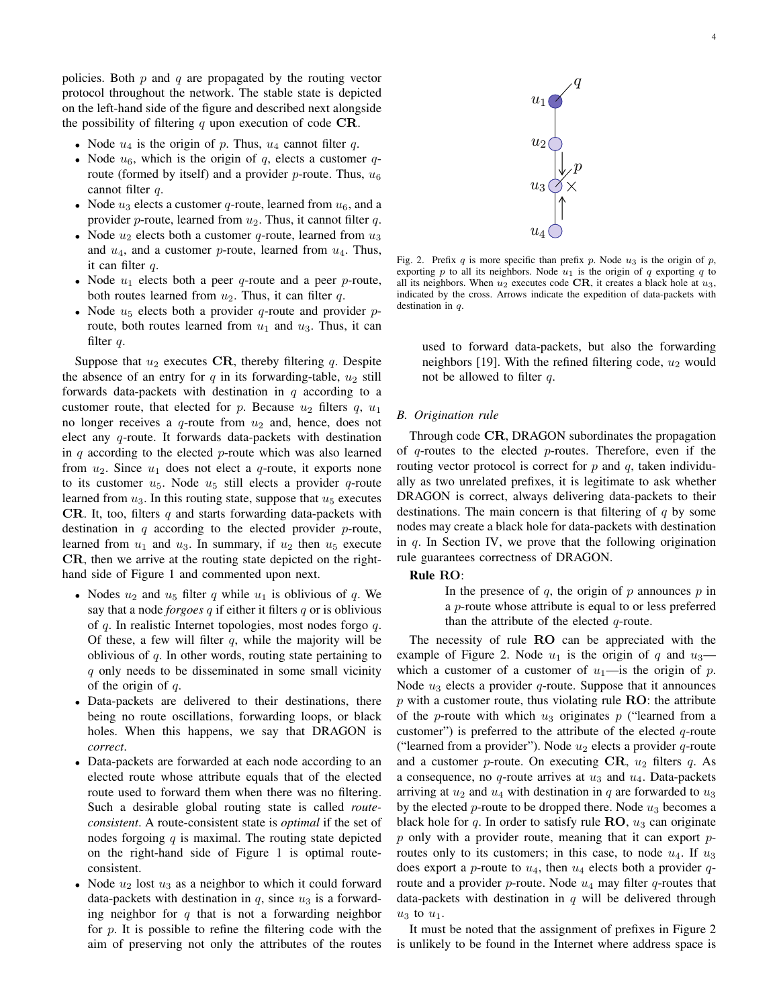policies. Both  $p$  and  $q$  are propagated by the routing vector protocol throughout the network. The stable state is depicted on the left-hand side of the figure and described next alongside the possibility of filtering  $q$  upon execution of code  $\mathbf{CR}$ .

- Node  $u_4$  is the origin of p. Thus,  $u_4$  cannot filter q.
- Node  $u_6$ , which is the origin of q, elects a customer qroute (formed by itself) and a provider *p*-route. Thus,  $u_6$ cannot filter q.
- Node  $u_3$  elects a customer q-route, learned from  $u_6$ , and a provider *p*-route, learned from  $u_2$ . Thus, it cannot filter q.
- Node  $u_2$  elects both a customer q-route, learned from  $u_3$ and  $u_4$ , and a customer p-route, learned from  $u_4$ . Thus, it can filter q.
- Node  $u_1$  elects both a peer q-route and a peer p-route, both routes learned from  $u_2$ . Thus, it can filter q.
- Node  $u_5$  elects both a provider q-route and provider  $p$ route, both routes learned from  $u_1$  and  $u_3$ . Thus, it can filter q.

Suppose that  $u_2$  executes CR, thereby filtering q. Despite the absence of an entry for  $q$  in its forwarding-table,  $u_2$  still forwards data-packets with destination in  $q$  according to a customer route, that elected for p. Because  $u_2$  filters q,  $u_1$ no longer receives a  $q$ -route from  $u_2$  and, hence, does not elect any q-route. It forwards data-packets with destination in  $q$  according to the elected  $p$ -route which was also learned from  $u_2$ . Since  $u_1$  does not elect a q-route, it exports none to its customer  $u_5$ . Node  $u_5$  still elects a provider q-route learned from  $u_3$ . In this routing state, suppose that  $u_5$  executes CR. It, too, filters  $q$  and starts forwarding data-packets with destination in  $q$  according to the elected provider  $p$ -route, learned from  $u_1$  and  $u_3$ . In summary, if  $u_2$  then  $u_5$  execute CR, then we arrive at the routing state depicted on the righthand side of Figure 1 and commented upon next.

- Nodes  $u_2$  and  $u_5$  filter q while  $u_1$  is oblivious of q. We say that a node *forgoes* q if either it filters q or is oblivious of q. In realistic Internet topologies, most nodes forgo q. Of these, a few will filter  $q$ , while the majority will be oblivious of  $q$ . In other words, routing state pertaining to q only needs to be disseminated in some small vicinity of the origin of  $q$ .
- Data-packets are delivered to their destinations, there being no route oscillations, forwarding loops, or black holes. When this happens, we say that DRAGON is *correct*.
- Data-packets are forwarded at each node according to an elected route whose attribute equals that of the elected route used to forward them when there was no filtering. Such a desirable global routing state is called *routeconsistent*. A route-consistent state is *optimal* if the set of nodes forgoing  $q$  is maximal. The routing state depicted on the right-hand side of Figure 1 is optimal routeconsistent.
- Node  $u_2$  lost  $u_3$  as a neighbor to which it could forward data-packets with destination in q, since  $u_3$  is a forwarding neighbor for  $q$  that is not a forwarding neighbor for  $p$ . It is possible to refine the filtering code with the aim of preserving not only the attributes of the routes



Fig. 2. Prefix q is more specific than prefix p. Node  $u_3$  is the origin of p, exporting p to all its neighbors. Node  $u_1$  is the origin of q exporting q to all its neighbors. When  $u_2$  executes code CR, it creates a black hole at  $u_3$ , indicated by the cross. Arrows indicate the expedition of data-packets with destination in  $q$ .

used to forward data-packets, but also the forwarding neighbors [19]. With the refined filtering code,  $u_2$  would not be allowed to filter  $q$ .

# *B. Origination rule*

Through code CR, DRAGON subordinates the propagation of  $q$ -routes to the elected  $p$ -routes. Therefore, even if the routing vector protocol is correct for  $p$  and  $q$ , taken individually as two unrelated prefixes, it is legitimate to ask whether DRAGON is correct, always delivering data-packets to their destinations. The main concern is that filtering of  $q$  by some nodes may create a black hole for data-packets with destination in  $q$ . In Section IV, we prove that the following origination rule guarantees correctness of DRAGON.

# Rule RO:

In the presence of  $q$ , the origin of  $p$  announces  $p$  in a p-route whose attribute is equal to or less preferred than the attribute of the elected  $q$ -route.

The necessity of rule RO can be appreciated with the example of Figure 2. Node  $u_1$  is the origin of q and  $u_3$  which a customer of a customer of  $u_1$ —is the origin of p. Node  $u_3$  elects a provider  $q$ -route. Suppose that it announces p with a customer route, thus violating rule  $\bf{RO}$ : the attribute of the *p*-route with which  $u_3$  originates p ("learned from a customer") is preferred to the attribute of the elected  $q$ -route ("learned from a provider"). Node  $u_2$  elects a provider q-route and a customer p-route. On executing CR,  $u_2$  filters q. As a consequence, no  $q$ -route arrives at  $u_3$  and  $u_4$ . Data-packets arriving at  $u_2$  and  $u_4$  with destination in q are forwarded to  $u_3$ by the elected *p*-route to be dropped there. Node  $u_3$  becomes a black hole for q. In order to satisfy rule  $\mathbf{RO}, u_3$  can originate  $p$  only with a provider route, meaning that it can export  $p$ routes only to its customers; in this case, to node  $u_4$ . If  $u_3$ does export a *p*-route to  $u_4$ , then  $u_4$  elects both a provider qroute and a provider *p*-route. Node  $u_4$  may filter *q*-routes that data-packets with destination in  $q$  will be delivered through  $u_3$  to  $u_1$ .

It must be noted that the assignment of prefixes in Figure 2 is unlikely to be found in the Internet where address space is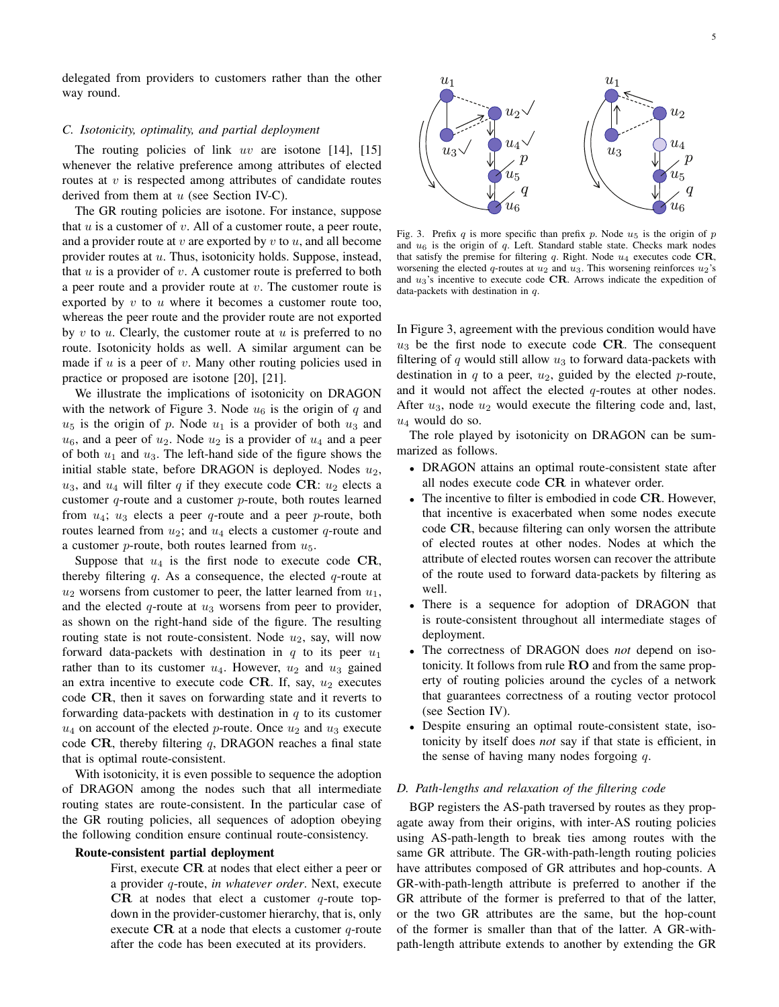delegated from providers to customers rather than the other way round.

#### *C. Isotonicity, optimality, and partial deployment*

The routing policies of link uv are isotone [14], [15] whenever the relative preference among attributes of elected routes at  $v$  is respected among attributes of candidate routes derived from them at  $u$  (see Section IV-C).

The GR routing policies are isotone. For instance, suppose that  $u$  is a customer of  $v$ . All of a customer route, a peer route, and a provider route at v are exported by v to  $u$ , and all become provider routes at u. Thus, isotonicity holds. Suppose, instead, that  $u$  is a provider of  $v$ . A customer route is preferred to both a peer route and a provider route at  $v$ . The customer route is exported by  $v$  to  $u$  where it becomes a customer route too, whereas the peer route and the provider route are not exported by v to u. Clearly, the customer route at  $u$  is preferred to no route. Isotonicity holds as well. A similar argument can be made if  $u$  is a peer of  $v$ . Many other routing policies used in practice or proposed are isotone [20], [21].

We illustrate the implications of isotonicity on DRAGON with the network of Figure 3. Node  $u_6$  is the origin of q and  $u_5$  is the origin of p. Node  $u_1$  is a provider of both  $u_3$  and  $u_6$ , and a peer of  $u_2$ . Node  $u_2$  is a provider of  $u_4$  and a peer of both  $u_1$  and  $u_3$ . The left-hand side of the figure shows the initial stable state, before DRAGON is deployed. Nodes  $u_2$ ,  $u_3$ , and  $u_4$  will filter q if they execute code CR:  $u_2$  elects a customer q-route and a customer p-route, both routes learned from  $u_4$ ;  $u_3$  elects a peer q-route and a peer p-route, both routes learned from  $u_2$ ; and  $u_4$  elects a customer q-route and a customer  $p$ -route, both routes learned from  $u_5$ .

Suppose that  $u_4$  is the first node to execute code CR, thereby filtering  $q$ . As a consequence, the elected  $q$ -route at  $u_2$  worsens from customer to peer, the latter learned from  $u_1$ , and the elected  $q$ -route at  $u_3$  worsens from peer to provider, as shown on the right-hand side of the figure. The resulting routing state is not route-consistent. Node  $u_2$ , say, will now forward data-packets with destination in q to its peer  $u_1$ rather than to its customer  $u_4$ . However,  $u_2$  and  $u_3$  gained an extra incentive to execute code CR. If, say,  $u_2$  executes code CR, then it saves on forwarding state and it reverts to forwarding data-packets with destination in  $q$  to its customer  $u_4$  on account of the elected p-route. Once  $u_2$  and  $u_3$  execute code CR, thereby filtering q, DRAGON reaches a final state that is optimal route-consistent.

With isotonicity, it is even possible to sequence the adoption of DRAGON among the nodes such that all intermediate routing states are route-consistent. In the particular case of the GR routing policies, all sequences of adoption obeying the following condition ensure continual route-consistency.

# Route-consistent partial deployment

First, execute CR at nodes that elect either a peer or a provider q-route, *in whatever order*. Next, execute  $CR$  at nodes that elect a customer q-route topdown in the provider-customer hierarchy, that is, only execute CR at a node that elects a customer  $q$ -route after the code has been executed at its providers.



Fig. 3. Prefix q is more specific than prefix p. Node  $u_5$  is the origin of p and  $u_6$  is the origin of q. Left. Standard stable state. Checks mark nodes that satisfy the premise for filtering  $q$ . Right. Node  $u_4$  executes code CR, worsening the elected q-routes at  $u_2$  and  $u_3$ . This worsening reinforces  $u_2$ 's and  $u_3$ 's incentive to execute code CR. Arrows indicate the expedition of data-packets with destination in  $q$ .

In Figure 3, agreement with the previous condition would have  $u_3$  be the first node to execute code CR. The consequent filtering of q would still allow  $u_3$  to forward data-packets with destination in  $q$  to a peer,  $u_2$ , guided by the elected p-route, and it would not affect the elected  $q$ -routes at other nodes. After  $u_3$ , node  $u_2$  would execute the filtering code and, last,  $u_4$  would do so.

The role played by isotonicity on DRAGON can be summarized as follows.

- DRAGON attains an optimal route-consistent state after all nodes execute code CR in whatever order.
- The incentive to filter is embodied in code CR. However, that incentive is exacerbated when some nodes execute code CR, because filtering can only worsen the attribute of elected routes at other nodes. Nodes at which the attribute of elected routes worsen can recover the attribute of the route used to forward data-packets by filtering as well.
- There is a sequence for adoption of DRAGON that is route-consistent throughout all intermediate stages of deployment.
- The correctness of DRAGON does *not* depend on isotonicity. It follows from rule RO and from the same property of routing policies around the cycles of a network that guarantees correctness of a routing vector protocol (see Section IV).
- Despite ensuring an optimal route-consistent state, isotonicity by itself does *not* say if that state is efficient, in the sense of having many nodes forgoing  $q$ .

# *D. Path-lengths and relaxation of the filtering code*

BGP registers the AS-path traversed by routes as they propagate away from their origins, with inter-AS routing policies using AS-path-length to break ties among routes with the same GR attribute. The GR-with-path-length routing policies have attributes composed of GR attributes and hop-counts. A GR-with-path-length attribute is preferred to another if the GR attribute of the former is preferred to that of the latter, or the two GR attributes are the same, but the hop-count of the former is smaller than that of the latter. A GR-withpath-length attribute extends to another by extending the GR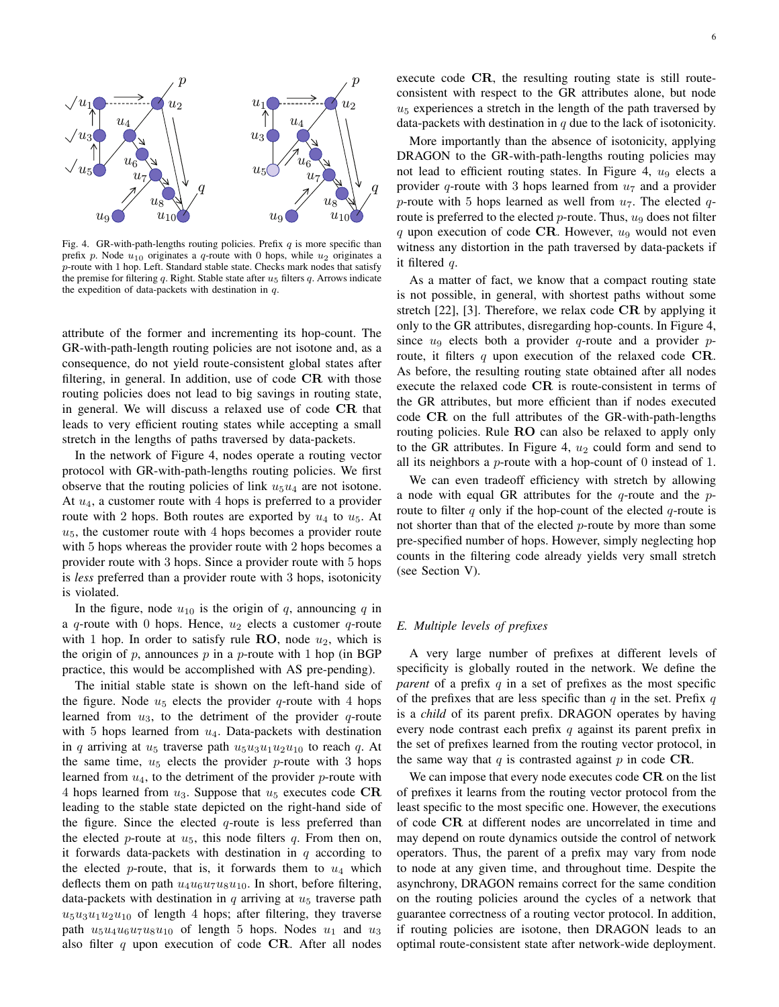

Fig. 4. GR-with-path-lengths routing policies. Prefix  $q$  is more specific than prefix p. Node  $u_{10}$  originates a q-route with 0 hops, while  $u_2$  originates a p-route with 1 hop. Left. Standard stable state. Checks mark nodes that satisfy the premise for filtering  $q$ . Right. Stable state after  $u_5$  filters  $q$ . Arrows indicate the expedition of data-packets with destination in  $q$ .

attribute of the former and incrementing its hop-count. The GR-with-path-length routing policies are not isotone and, as a consequence, do not yield route-consistent global states after filtering, in general. In addition, use of code CR with those routing policies does not lead to big savings in routing state, in general. We will discuss a relaxed use of code CR that leads to very efficient routing states while accepting a small stretch in the lengths of paths traversed by data-packets.

In the network of Figure 4, nodes operate a routing vector protocol with GR-with-path-lengths routing policies. We first observe that the routing policies of link  $u_5u_4$  are not isotone. At  $u_4$ , a customer route with 4 hops is preferred to a provider route with 2 hops. Both routes are exported by  $u_4$  to  $u_5$ . At  $u<sub>5</sub>$ , the customer route with 4 hops becomes a provider route with 5 hops whereas the provider route with 2 hops becomes a provider route with 3 hops. Since a provider route with 5 hops is *less* preferred than a provider route with 3 hops, isotonicity is violated.

In the figure, node  $u_{10}$  is the origin of q, announcing q in a  $q$ -route with 0 hops. Hence,  $u_2$  elects a customer  $q$ -route with 1 hop. In order to satisfy rule  $\mathbf{RO}$ , node  $u_2$ , which is the origin of p, announces p in a p-route with 1 hop (in BGP) practice, this would be accomplished with AS pre-pending).

The initial stable state is shown on the left-hand side of the figure. Node  $u_5$  elects the provider q-route with 4 hops learned from  $u_3$ , to the detriment of the provider q-route with 5 hops learned from  $u_4$ . Data-packets with destination in q arriving at  $u_5$  traverse path  $u_5u_3u_1u_2u_{10}$  to reach q. At the same time,  $u_5$  elects the provider p-route with 3 hops learned from  $u_4$ , to the detriment of the provider p-route with 4 hops learned from  $u_3$ . Suppose that  $u_5$  executes code CR leading to the stable state depicted on the right-hand side of the figure. Since the elected  $q$ -route is less preferred than the elected *p*-route at  $u_5$ , this node filters q. From then on, it forwards data-packets with destination in  $q$  according to the elected p-route, that is, it forwards them to  $u_4$  which deflects them on path  $u_4u_6u_7u_8u_{10}$ . In short, before filtering, data-packets with destination in  $q$  arriving at  $u_5$  traverse path  $u_5u_3u_1u_2u_{10}$  of length 4 hops; after filtering, they traverse path  $u_5u_4u_6u_7u_8u_{10}$  of length 5 hops. Nodes  $u_1$  and  $u_3$ also filter  $q$  upon execution of code CR. After all nodes execute code CR, the resulting routing state is still routeconsistent with respect to the GR attributes alone, but node  $u<sub>5</sub>$  experiences a stretch in the length of the path traversed by data-packets with destination in  $q$  due to the lack of isotonicity.

More importantly than the absence of isotonicity, applying DRAGON to the GR-with-path-lengths routing policies may not lead to efficient routing states. In Figure 4,  $u_9$  elects a provider q-route with 3 hops learned from  $u_7$  and a provider p-route with 5 hops learned as well from  $u_7$ . The elected qroute is preferred to the elected  $p$ -route. Thus,  $u<sub>9</sub>$  does not filter q upon execution of code CR. However,  $u_9$  would not even witness any distortion in the path traversed by data-packets if it filtered q.

As a matter of fact, we know that a compact routing state is not possible, in general, with shortest paths without some stretch [22], [3]. Therefore, we relax code CR by applying it only to the GR attributes, disregarding hop-counts. In Figure 4, since  $u_9$  elects both a provider q-route and a provider  $p$ route, it filters  $q$  upon execution of the relaxed code CR. As before, the resulting routing state obtained after all nodes execute the relaxed code  $CR$  is route-consistent in terms of the GR attributes, but more efficient than if nodes executed code CR on the full attributes of the GR-with-path-lengths routing policies. Rule RO can also be relaxed to apply only to the GR attributes. In Figure 4,  $u_2$  could form and send to all its neighbors a *p*-route with a hop-count of 0 instead of 1.

We can even tradeoff efficiency with stretch by allowing a node with equal GR attributes for the  $q$ -route and the  $p$ route to filter q only if the hop-count of the elected q-route is not shorter than that of the elected p-route by more than some pre-specified number of hops. However, simply neglecting hop counts in the filtering code already yields very small stretch (see Section V).

#### *E. Multiple levels of prefixes*

A very large number of prefixes at different levels of specificity is globally routed in the network. We define the *parent* of a prefix  $q$  in a set of prefixes as the most specific of the prefixes that are less specific than  $q$  in the set. Prefix  $q$ is a *child* of its parent prefix. DRAGON operates by having every node contrast each prefix  $q$  against its parent prefix in the set of prefixes learned from the routing vector protocol, in the same way that  $q$  is contrasted against  $p$  in code CR.

We can impose that every node executes code  $CR$  on the list of prefixes it learns from the routing vector protocol from the least specific to the most specific one. However, the executions of code CR at different nodes are uncorrelated in time and may depend on route dynamics outside the control of network operators. Thus, the parent of a prefix may vary from node to node at any given time, and throughout time. Despite the asynchrony, DRAGON remains correct for the same condition on the routing policies around the cycles of a network that guarantee correctness of a routing vector protocol. In addition, if routing policies are isotone, then DRAGON leads to an optimal route-consistent state after network-wide deployment.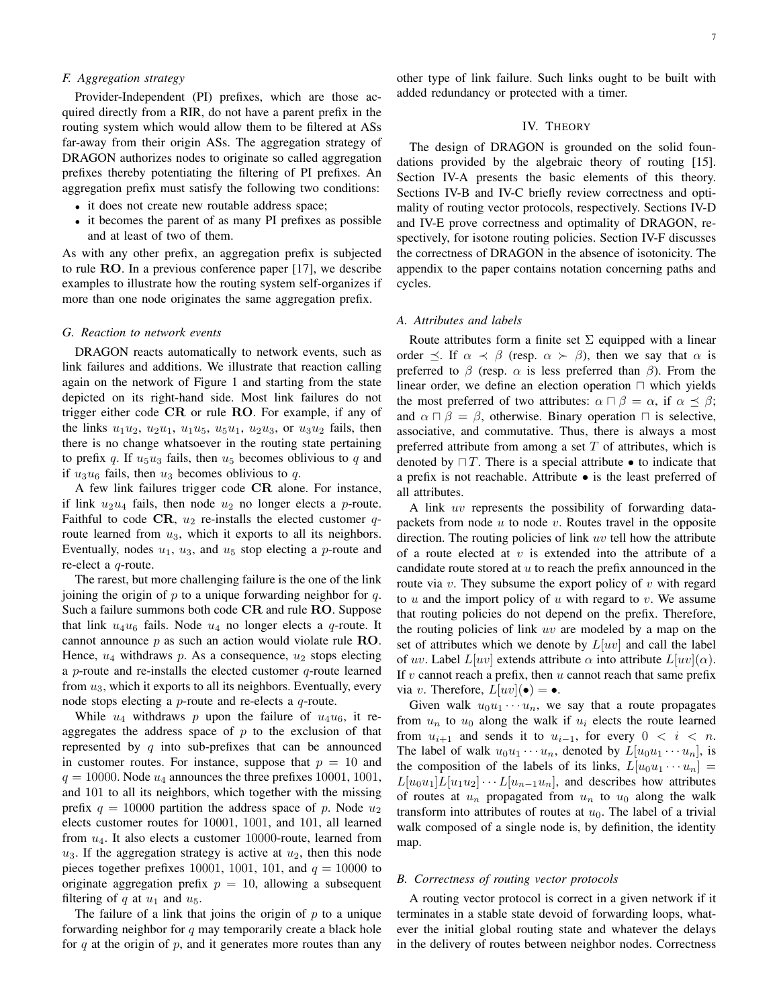# *F. Aggregation strategy*

Provider-Independent (PI) prefixes, which are those acquired directly from a RIR, do not have a parent prefix in the routing system which would allow them to be filtered at ASs far-away from their origin ASs. The aggregation strategy of DRAGON authorizes nodes to originate so called aggregation prefixes thereby potentiating the filtering of PI prefixes. An aggregation prefix must satisfy the following two conditions:

- it does not create new routable address space;
- it becomes the parent of as many PI prefixes as possible and at least of two of them.

As with any other prefix, an aggregation prefix is subjected to rule RO. In a previous conference paper [17], we describe examples to illustrate how the routing system self-organizes if more than one node originates the same aggregation prefix.

#### *G. Reaction to network events*

DRAGON reacts automatically to network events, such as link failures and additions. We illustrate that reaction calling again on the network of Figure 1 and starting from the state depicted on its right-hand side. Most link failures do not trigger either code CR or rule RO. For example, if any of the links  $u_1u_2, u_2u_1, u_1u_5, u_5u_1, u_2u_3$ , or  $u_3u_2$  fails, then there is no change whatsoever in the routing state pertaining to prefix q. If  $u_5u_3$  fails, then  $u_5$  becomes oblivious to q and if  $u_3u_6$  fails, then  $u_3$  becomes oblivious to q.

A few link failures trigger code CR alone. For instance, if link  $u_2u_4$  fails, then node  $u_2$  no longer elects a *p*-route. Faithful to code CR,  $u_2$  re-installs the elected customer qroute learned from  $u_3$ , which it exports to all its neighbors. Eventually, nodes  $u_1$ ,  $u_3$ , and  $u_5$  stop electing a *p*-route and re-elect a q-route.

The rarest, but more challenging failure is the one of the link joining the origin of  $p$  to a unique forwarding neighbor for  $q$ . Such a failure summons both code CR and rule RO. Suppose that link  $u_4u_6$  fails. Node  $u_4$  no longer elects a q-route. It cannot announce  $p$  as such an action would violate rule  $\mathbf{RO}$ . Hence,  $u_4$  withdraws p. As a consequence,  $u_2$  stops electing a  $p$ -route and re-installs the elected customer  $q$ -route learned from  $u_3$ , which it exports to all its neighbors. Eventually, every node stops electing a p-route and re-elects a q-route.

While  $u_4$  withdraws p upon the failure of  $u_4u_6$ , it reaggregates the address space of  $p$  to the exclusion of that represented by  $q$  into sub-prefixes that can be announced in customer routes. For instance, suppose that  $p = 10$  and  $q = 10000$ . Node  $u_4$  announces the three prefixes 10001, 1001, and 101 to all its neighbors, which together with the missing prefix  $q = 10000$  partition the address space of p. Node  $u_2$ elects customer routes for 10001, 1001, and 101, all learned from  $u_4$ . It also elects a customer 10000-route, learned from  $u_3$ . If the aggregation strategy is active at  $u_2$ , then this node pieces together prefixes 10001, 1001, 101, and  $q = 10000$  to originate aggregation prefix  $p = 10$ , allowing a subsequent filtering of q at  $u_1$  and  $u_5$ .

The failure of a link that joins the origin of  $p$  to a unique forwarding neighbor for  $q$  may temporarily create a black hole for  $q$  at the origin of  $p$ , and it generates more routes than any

other type of link failure. Such links ought to be built with added redundancy or protected with a timer.

# IV. THEORY

The design of DRAGON is grounded on the solid foundations provided by the algebraic theory of routing [15]. Section IV-A presents the basic elements of this theory. Sections IV-B and IV-C briefly review correctness and optimality of routing vector protocols, respectively. Sections IV-D and IV-E prove correctness and optimality of DRAGON, respectively, for isotone routing policies. Section IV-F discusses the correctness of DRAGON in the absence of isotonicity. The appendix to the paper contains notation concerning paths and cycles.

# *A. Attributes and labels*

Route attributes form a finite set  $\Sigma$  equipped with a linear order  $\preceq$ . If  $\alpha \prec \beta$  (resp.  $\alpha \succ \beta$ ), then we say that  $\alpha$  is preferred to  $\beta$  (resp.  $\alpha$  is less preferred than  $\beta$ ). From the linear order, we define an election operation ⊓ which yields the most preferred of two attributes:  $\alpha \sqcap \beta = \alpha$ , if  $\alpha \preceq \beta$ ; and  $\alpha \sqcap \beta = \beta$ , otherwise. Binary operation  $\sqcap$  is selective, associative, and commutative. Thus, there is always a most preferred attribute from among a set  $T$  of attributes, which is denoted by  $\Box T$ . There is a special attribute • to indicate that a prefix is not reachable. Attribute • is the least preferred of all attributes.

A link uv represents the possibility of forwarding datapackets from node  $u$  to node  $v$ . Routes travel in the opposite direction. The routing policies of link  $uv$  tell how the attribute of a route elected at  $v$  is extended into the attribute of a candidate route stored at  $u$  to reach the prefix announced in the route via  $v$ . They subsume the export policy of  $v$  with regard to  $u$  and the import policy of  $u$  with regard to  $v$ . We assume that routing policies do not depend on the prefix. Therefore, the routing policies of link uv are modeled by a map on the set of attributes which we denote by  $L[uv]$  and call the label of uv. Label  $L[uv]$  extends attribute  $\alpha$  into attribute  $L[uv](\alpha)$ . If v cannot reach a prefix, then  $u$  cannot reach that same prefix via v. Therefore,  $L[uv](\bullet) = \bullet$ .

Given walk  $u_0u_1 \cdots u_n$ , we say that a route propagates from  $u_n$  to  $u_0$  along the walk if  $u_i$  elects the route learned from  $u_{i+1}$  and sends it to  $u_{i-1}$ , for every  $0 < i < n$ . The label of walk  $u_0u_1 \cdots u_n$ , denoted by  $L[u_0u_1 \cdots u_n]$ , is the composition of the labels of its links,  $L[u_0u_1 \cdots u_n] =$  $L[u_0u_1]L[u_1u_2] \cdots L[u_{n-1}u_n]$ , and describes how attributes of routes at  $u_n$  propagated from  $u_n$  to  $u_0$  along the walk transform into attributes of routes at  $u_0$ . The label of a trivial walk composed of a single node is, by definition, the identity map.

# *B. Correctness of routing vector protocols*

A routing vector protocol is correct in a given network if it terminates in a stable state devoid of forwarding loops, whatever the initial global routing state and whatever the delays in the delivery of routes between neighbor nodes. Correctness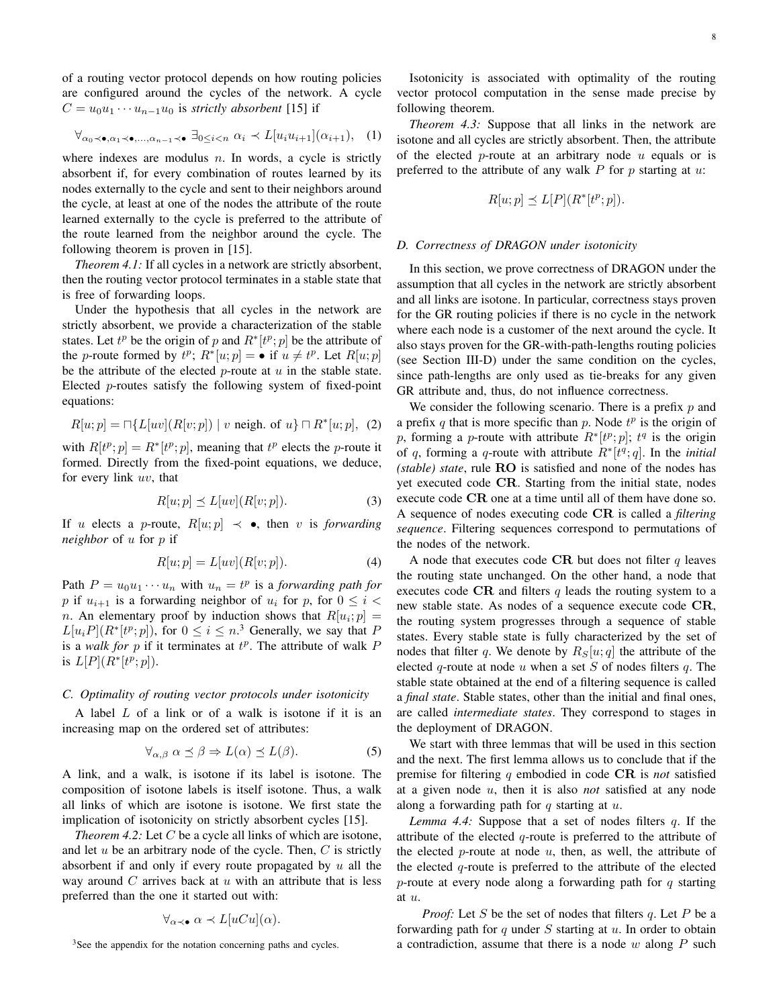of a routing vector protocol depends on how routing policies are configured around the cycles of the network. A cycle  $C = u_0 u_1 \cdots u_{n-1} u_0$  is *strictly absorbent* [15] if

$$
\forall_{\alpha_0 \prec \bullet, \alpha_1 \prec \bullet, \dots, \alpha_{n-1} \prec \bullet} \exists_{0 \leq i < n} \alpha_i \prec L[u_i u_{i+1}](\alpha_{i+1}), \quad (1)
$$

where indexes are modulus  $n$ . In words, a cycle is strictly absorbent if, for every combination of routes learned by its nodes externally to the cycle and sent to their neighbors around the cycle, at least at one of the nodes the attribute of the route learned externally to the cycle is preferred to the attribute of the route learned from the neighbor around the cycle. The following theorem is proven in [15].

*Theorem 4.1:* If all cycles in a network are strictly absorbent, then the routing vector protocol terminates in a stable state that is free of forwarding loops.

Under the hypothesis that all cycles in the network are strictly absorbent, we provide a characterization of the stable states. Let  $t^p$  be the origin of p and  $R^*[t^p; p]$  be the attribute of the *p*-route formed by  $t^p$ ;  $R^*[u; p] = \bullet$  if  $u \neq t^p$ . Let  $R[u; p]$ be the attribute of the elected  $p$ -route at  $u$  in the stable state. Elected p-routes satisfy the following system of fixed-point equations:

$$
R[u; p] = \bigcap \{L[uv](R[v; p]) \mid v \text{ neigh. of } u\} \sqcap R^*[u; p], (2)
$$

with  $R[t^p; p] = R^*[t^p; p]$ , meaning that  $t^p$  elects the *p*-route it formed. Directly from the fixed-point equations, we deduce, for every link uv, that

$$
R[u; p] \preceq L[uv](R[v; p]). \tag{3}
$$

If u elects a p-route,  $R[u; p] \prec \bullet$ , then v is *forwarding neighbor* of u for p if

$$
R[u; p] = L[uv](R[v; p]). \tag{4}
$$

Path  $P = u_0 u_1 \cdots u_n$  with  $u_n = t^p$  is a *forwarding path for* p if  $u_{i+1}$  is a forwarding neighbor of  $u_i$  for  $p$ , for  $0 \leq i <$ n. An elementary proof by induction shows that  $R[u_i; p] =$  $L[u_i P](R^*[t^p; p])$ , for  $0 \le i \le n$ .<sup>3</sup> Generally, we say that P is a *walk for*  $p$  if it terminates at  $t^p$ . The attribute of walk  $P$ is  $L[P](R^*[t^p;p]).$ 

# *C. Optimality of routing vector protocols under isotonicity*

A label L of a link or of a walk is isotone if it is an increasing map on the ordered set of attributes:

$$
\forall_{\alpha,\beta} \alpha \preceq \beta \Rightarrow L(\alpha) \preceq L(\beta). \tag{5}
$$

A link, and a walk, is isotone if its label is isotone. The composition of isotone labels is itself isotone. Thus, a walk all links of which are isotone is isotone. We first state the implication of isotonicity on strictly absorbent cycles [15].

*Theorem 4.2:* Let C be a cycle all links of which are isotone, and let  $u$  be an arbitrary node of the cycle. Then,  $C$  is strictly absorbent if and only if every route propagated by  $u$  all the way around  $C$  arrives back at  $u$  with an attribute that is less preferred than the one it started out with:

$$
\forall_{\alpha\prec\bullet}\ \alpha \prec L[uCu](\alpha).
$$

<sup>3</sup>See the appendix for the notation concerning paths and cycles.

Isotonicity is associated with optimality of the routing vector protocol computation in the sense made precise by following theorem.

*Theorem 4.3:* Suppose that all links in the network are isotone and all cycles are strictly absorbent. Then, the attribute of the elected *p*-route at an arbitrary node  $u$  equals or is preferred to the attribute of any walk  $P$  for  $p$  starting at  $u$ .

$$
R[u;p] \preceq L[P](R^*[t^p;p]).
$$

# *D. Correctness of DRAGON under isotonicity*

In this section, we prove correctness of DRAGON under the assumption that all cycles in the network are strictly absorbent and all links are isotone. In particular, correctness stays proven for the GR routing policies if there is no cycle in the network where each node is a customer of the next around the cycle. It also stays proven for the GR-with-path-lengths routing policies (see Section III-D) under the same condition on the cycles, since path-lengths are only used as tie-breaks for any given GR attribute and, thus, do not influence correctness.

We consider the following scenario. There is a prefix  $p$  and a prefix q that is more specific than p. Node  $t^p$  is the origin of p, forming a p-route with attribute  $R^*[t^p; p]$ ;  $t^q$  is the origin of q, forming a q-route with attribute  $R^*[t^q; q]$ . In the *initial (stable) state*, rule RO is satisfied and none of the nodes has yet executed code CR. Starting from the initial state, nodes execute code CR one at a time until all of them have done so. A sequence of nodes executing code CR is called a *filtering sequence*. Filtering sequences correspond to permutations of the nodes of the network.

A node that executes code CR but does not filter  $q$  leaves the routing state unchanged. On the other hand, a node that executes code CR and filters  $q$  leads the routing system to a new stable state. As nodes of a sequence execute code CR, the routing system progresses through a sequence of stable states. Every stable state is fully characterized by the set of nodes that filter q. We denote by  $R_S[u; q]$  the attribute of the elected q-route at node u when a set S of nodes filters q. The stable state obtained at the end of a filtering sequence is called a *final state*. Stable states, other than the initial and final ones, are called *intermediate states*. They correspond to stages in the deployment of DRAGON.

We start with three lemmas that will be used in this section and the next. The first lemma allows us to conclude that if the premise for filtering q embodied in code CR is *not* satisfied at a given node u, then it is also *not* satisfied at any node along a forwarding path for  $q$  starting at  $u$ .

*Lemma 4.4:* Suppose that a set of nodes filters q. If the attribute of the elected  $q$ -route is preferred to the attribute of the elected  $p$ -route at node  $u$ , then, as well, the attribute of the elected  $q$ -route is preferred to the attribute of the elected p-route at every node along a forwarding path for  $q$  starting at u.

*Proof:* Let S be the set of nodes that filters q. Let P be a forwarding path for q under  $S$  starting at  $u$ . In order to obtain a contradiction, assume that there is a node  $w$  along  $P$  such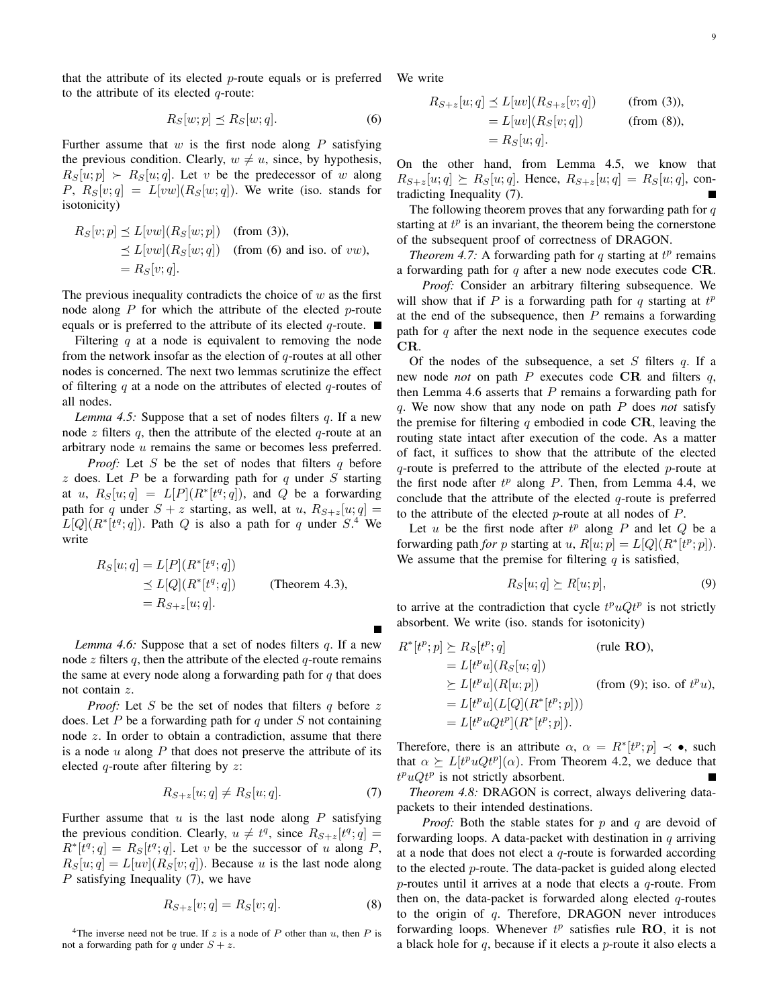that the attribute of its elected  $p$ -route equals or is preferred We write to the attribute of its elected  $q$ -route:

$$
R_S[w; p] \preceq R_S[w; q]. \tag{6}
$$

Further assume that  $w$  is the first node along  $P$  satisfying the previous condition. Clearly,  $w \neq u$ , since, by hypothesis,  $R_S[u; p] \succ R_S[u; q]$ . Let v be the predecessor of w along P,  $R_S[v; q] = L[vw](R_S[w; q])$ . We write (iso. stands for isotonicity)

$$
R_S[v; p] \preceq L[vw](R_S[w; p]) \quad \text{(from (3)),}
$$
  
\n
$$
\preceq L[vw](R_S[w; q]) \quad \text{(from (6) and iso. of } vw),
$$
  
\n
$$
= R_S[v; q].
$$

The previous inequality contradicts the choice of  $w$  as the first node along  $P$  for which the attribute of the elected  $p$ -route equals or is preferred to the attribute of its elected q-route.  $\blacksquare$ 

Filtering  $q$  at a node is equivalent to removing the node from the network insofar as the election of  $q$ -routes at all other nodes is concerned. The next two lemmas scrutinize the effect of filtering q at a node on the attributes of elected q-routes of all nodes.

*Lemma 4.5:* Suppose that a set of nodes filters q. If a new node z filters q, then the attribute of the elected q-route at an arbitrary node u remains the same or becomes less preferred.

*Proof:* Let S be the set of nodes that filters q before  $z$  does. Let P be a forwarding path for q under S starting at u,  $R_S[u; q] = L[P](R^*[t^q; q])$ , and Q be a forwarding path for q under  $S + z$  starting, as well, at  $u, R_{S+z}[u; q] =$  $L[Q](R^*[t^q; q])$ . Path Q is also a path for q under S.<sup>4</sup> We write

$$
R_S[u; q] = L[P](R^*[t^q; q])
$$
  
\n
$$
\leq L[Q](R^*[t^q; q])
$$
 (Theorem 4.3),  
\n
$$
= R_{S+z}[u; q].
$$

*Lemma 4.6:* Suppose that a set of nodes filters q. If a new node z filters q, then the attribute of the elected q-route remains the same at every node along a forwarding path for  $q$  that does not contain z.

*Proof:* Let S be the set of nodes that filters  $q$  before  $z$ does. Let  $P$  be a forwarding path for  $q$  under  $S$  not containing node z. In order to obtain a contradiction, assume that there is a node  $u$  along  $P$  that does not preserve the attribute of its elected  $q$ -route after filtering by  $z$ :

$$
R_{S+z}[u;q] \neq R_S[u;q].\tag{7}
$$

Further assume that  $u$  is the last node along  $P$  satisfying the previous condition. Clearly,  $u \neq t^q$ , since  $R_{S+z}[t^q; q] =$  $R^*[t^q; q] = R_S[t^q; q]$ . Let v be the successor of u along P,  $R_S[u; q] = L[uv](R_S[v; q])$ . Because u is the last node along  $P$  satisfying Inequality (7), we have

$$
R_{S+z}[v;q] = R_S[v;q].\tag{8}
$$

<sup>4</sup>The inverse need not be true. If z is a node of P other than u, then P is not a forwarding path for q under  $S + z$ .

$$
R_{S+z}[u;q] \preceq L[uv](R_{S+z}[v;q]) \qquad \text{(from (3)),}
$$
  
=  $L[uv](R_S[v;q]) \qquad \text{(from (8)),}$   
=  $R_S[u;q].$ 

On the other hand, from Lemma 4.5, we know that  $R_{S+z}[u; q] \succeq R_S[u; q]$ . Hence,  $R_{S+z}[u; q] = R_S[u; q]$ , contradicting Inequality (7).

The following theorem proves that any forwarding path for  $q$ starting at  $t^p$  is an invariant, the theorem being the cornerstone of the subsequent proof of correctness of DRAGON.

*Theorem 4.7:* A forwarding path for  $q$  starting at  $t^p$  remains a forwarding path for  $q$  after a new node executes code  $\mathbf{CR}$ .

*Proof:* Consider an arbitrary filtering subsequence. We will show that if  $P$  is a forwarding path for  $q$  starting at  $t^p$ at the end of the subsequence, then  $P$  remains a forwarding path for  $q$  after the next node in the sequence executes code CR.

Of the nodes of the subsequence, a set  $S$  filters  $q$ . If a new node *not* on path P executes code CR and filters q, then Lemma 4.6 asserts that  $P$  remains a forwarding path for q. We now show that any node on path P does *not* satisfy the premise for filtering q embodied in code  $CR$ , leaving the routing state intact after execution of the code. As a matter of fact, it suffices to show that the attribute of the elected  $q$ -route is preferred to the attribute of the elected  $p$ -route at the first node after  $t^p$  along P. Then, from Lemma 4.4, we conclude that the attribute of the elected  $q$ -route is preferred to the attribute of the elected p-route at all nodes of P.

Let u be the first node after  $t^p$  along P and let Q be a forwarding path *for* p starting at u,  $R[u; p] = L[Q](R^*[t^p; p])$ . We assume that the premise for filtering  $q$  is satisfied,

$$
R_S[u; q] \succeq R[u; p],\tag{9}
$$

to arrive at the contradiction that cycle  $t^p u Q t^p$  is not strictly absorbent. We write (iso. stands for isotonicity)

$$
R^*[t^p; p] \succeq R_S[t^p; q]
$$
 (rule **RO**),  
\n
$$
= L[t^p u](R_S[u; q])
$$
  
\n
$$
\succeq L[t^p u](R[u; p])
$$
 (from (9); iso. of  $t^p u$ ),  
\n
$$
= L[t^p u](L[Q](R^*[t^p; p]))
$$
  
\n
$$
= L[t^p u Q t^p](R^*[t^p; p]).
$$

Therefore, there is an attribute  $\alpha$ ,  $\alpha = R^*[t^p; p] \prec \bullet$ , such that  $\alpha \succeq L[t^p u Qt^p](\alpha)$ . From Theorem 4.2, we deduce that  $t^p u Q t^p$  is not strictly absorbent.

*Theorem 4.8:* DRAGON is correct, always delivering datapackets to their intended destinations.

*Proof:* Both the stable states for p and q are devoid of forwarding loops. A data-packet with destination in  $q$  arriving at a node that does not elect a  $q$ -route is forwarded according to the elected p-route. The data-packet is guided along elected p-routes until it arrives at a node that elects a  $q$ -route. From then on, the data-packet is forwarded along elected  $q$ -routes to the origin of  $q$ . Therefore, DRAGON never introduces forwarding loops. Whenever  $t^p$  satisfies rule RO, it is not a black hole for  $q$ , because if it elects a  $p$ -route it also elects a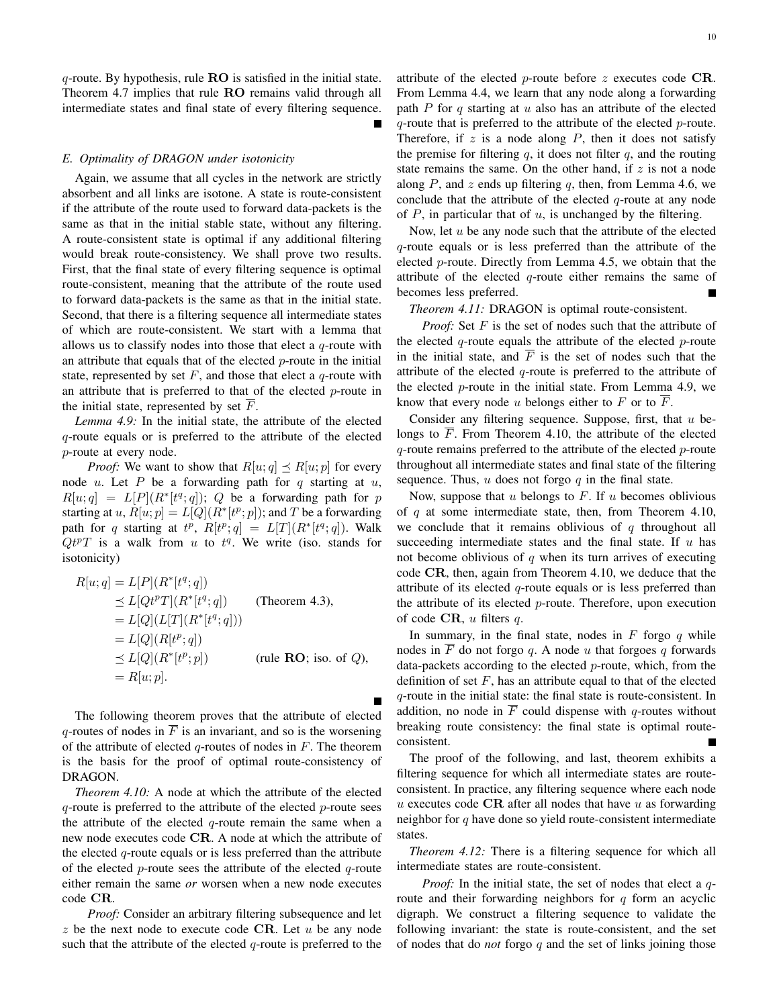$q$ -route. By hypothesis, rule  $\bf{RO}$  is satisfied in the initial state. Theorem 4.7 implies that rule RO remains valid through all intermediate states and final state of every filtering sequence.

# *E. Optimality of DRAGON under isotonicity*

Again, we assume that all cycles in the network are strictly absorbent and all links are isotone. A state is route-consistent if the attribute of the route used to forward data-packets is the same as that in the initial stable state, without any filtering. A route-consistent state is optimal if any additional filtering would break route-consistency. We shall prove two results. First, that the final state of every filtering sequence is optimal route-consistent, meaning that the attribute of the route used to forward data-packets is the same as that in the initial state. Second, that there is a filtering sequence all intermediate states of which are route-consistent. We start with a lemma that allows us to classify nodes into those that elect a  $q$ -route with an attribute that equals that of the elected  $p$ -route in the initial state, represented by set  $F$ , and those that elect a  $q$ -route with an attribute that is preferred to that of the elected  $p$ -route in the initial state, represented by set  $\overline{F}$ .

*Lemma 4.9:* In the initial state, the attribute of the elected q-route equals or is preferred to the attribute of the elected p-route at every node.

*Proof:* We want to show that  $R[u; q] \preceq R[u; p]$  for every node u. Let P be a forwarding path for q starting at  $u$ ,  $R[u; q] = L[P](R^*[t^q; q])$ ; Q be a forwarding path for p starting at u,  $R[u; p] = L[Q](R^*[t^p; p])$ ; and T be a forwarding path for q starting at  $t^p$ ,  $R[t^p; q] = L[T](R^*[t^q; q])$ . Walk  $Qt^pT$  is a walk from u to  $t^q$ . We write (iso. stands for isotonicity)

$$
R[u; q] = L[P](R^*[t^q; q])
$$
  
\n
$$
\leq L[Qt^pT](R^*[t^q; q])
$$
 (Theorem 4.3),  
\n
$$
= L[Q](L[T](R^*[t^q; q]))
$$
  
\n
$$
= L[Q](R[t^p; q])
$$
  
\n
$$
\leq L[Q](R^*[t^p; p])
$$
 (rule **RO**; iso. of Q),  
\n
$$
= R[u; p].
$$

The following theorem proves that the attribute of elected q-routes of nodes in  $\overline{F}$  is an invariant, and so is the worsening of the attribute of elected  $q$ -routes of nodes in  $F$ . The theorem is the basis for the proof of optimal route-consistency of DRAGON.

*Theorem 4.10:* A node at which the attribute of the elected  $q$ -route is preferred to the attribute of the elected  $p$ -route sees the attribute of the elected  $q$ -route remain the same when a new node executes code CR. A node at which the attribute of the elected  $q$ -route equals or is less preferred than the attribute of the elected *p*-route sees the attribute of the elected *q*-route either remain the same *or* worsen when a new node executes code CR.

*Proof:* Consider an arbitrary filtering subsequence and let  $z$  be the next node to execute code CR. Let  $u$  be any node such that the attribute of the elected  $q$ -route is preferred to the attribute of the elected  $p$ -route before  $z$  executes code CR. From Lemma 4.4, we learn that any node along a forwarding path  $P$  for  $q$  starting at  $u$  also has an attribute of the elected  $q$ -route that is preferred to the attribute of the elected  $p$ -route. Therefore, if  $z$  is a node along  $P$ , then it does not satisfy the premise for filtering  $q$ , it does not filter  $q$ , and the routing state remains the same. On the other hand, if  $z$  is not a node along P, and z ends up filtering q, then, from Lemma 4.6, we conclude that the attribute of the elected  $q$ -route at any node of  $P$ , in particular that of  $u$ , is unchanged by the filtering.

Now, let  $u$  be any node such that the attribute of the elected q-route equals or is less preferred than the attribute of the elected p-route. Directly from Lemma 4.5, we obtain that the attribute of the elected  $q$ -route either remains the same of becomes less preferred.

*Theorem 4.11:* DRAGON is optimal route-consistent.

*Proof:* Set F is the set of nodes such that the attribute of the elected  $q$ -route equals the attribute of the elected  $p$ -route in the initial state, and  $\overline{F}$  is the set of nodes such that the attribute of the elected  $q$ -route is preferred to the attribute of the elected  $p$ -route in the initial state. From Lemma 4.9, we know that every node u belongs either to  $F$  or to  $F$ .

Consider any filtering sequence. Suppose, first, that  $u$  belongs to  $\overline{F}$ . From Theorem 4.10, the attribute of the elected  $q$ -route remains preferred to the attribute of the elected  $p$ -route throughout all intermediate states and final state of the filtering sequence. Thus,  $u$  does not forgo  $q$  in the final state.

Now, suppose that  $u$  belongs to  $F$ . If  $u$  becomes oblivious of q at some intermediate state, then, from Theorem 4.10, we conclude that it remains oblivious of  $q$  throughout all succeeding intermediate states and the final state. If  $u$  has not become oblivious of  $q$  when its turn arrives of executing code CR, then, again from Theorem 4.10, we deduce that the attribute of its elected  $q$ -route equals or is less preferred than the attribute of its elected  $p$ -route. Therefore, upon execution of code  $CR$ , u filters q.

In summary, in the final state, nodes in  $F$  forgo  $q$  while nodes in  $\overline{F}$  do not forgo q. A node u that forgoes q forwards data-packets according to the elected  $p$ -route, which, from the definition of set  $F$ , has an attribute equal to that of the elected q-route in the initial state: the final state is route-consistent. In addition, no node in  $\overline{F}$  could dispense with q-routes without breaking route consistency: the final state is optimal routeconsistent.

The proof of the following, and last, theorem exhibits a filtering sequence for which all intermediate states are routeconsistent. In practice, any filtering sequence where each node  $u$  executes code CR after all nodes that have  $u$  as forwarding neighbor for  $q$  have done so yield route-consistent intermediate states.

*Theorem 4.12:* There is a filtering sequence for which all intermediate states are route-consistent.

*Proof:* In the initial state, the set of nodes that elect a qroute and their forwarding neighbors for  $q$  form an acyclic digraph. We construct a filtering sequence to validate the following invariant: the state is route-consistent, and the set of nodes that do *not* forgo q and the set of links joining those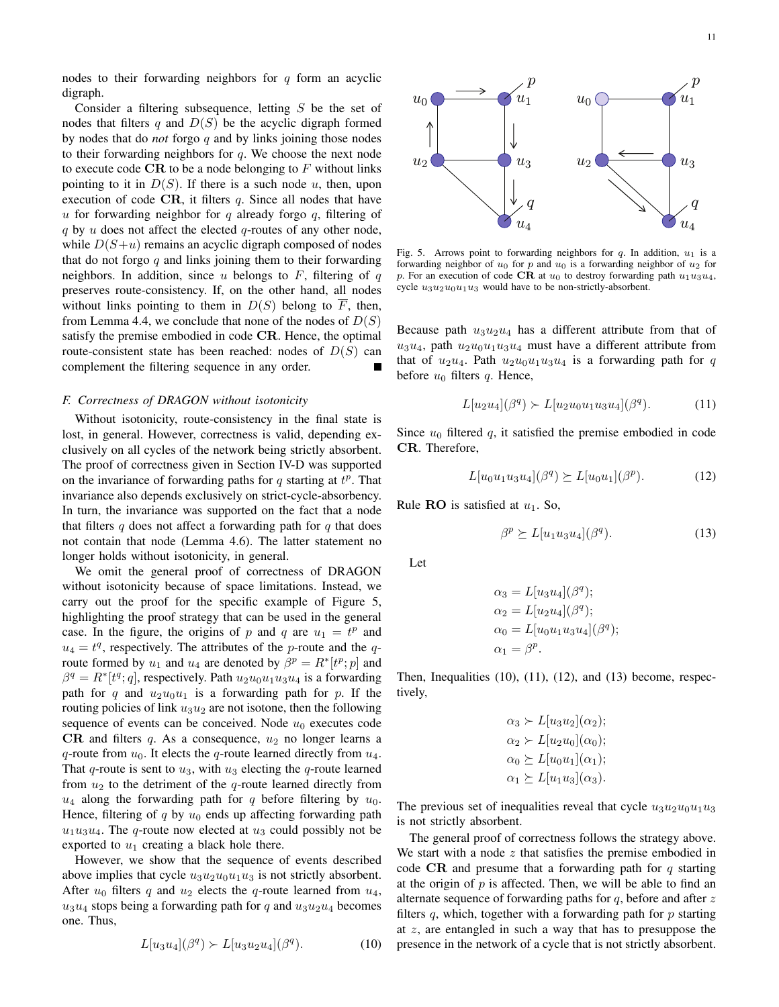nodes to their forwarding neighbors for  $q$  form an acyclic digraph.

Consider a filtering subsequence, letting  $S$  be the set of nodes that filters q and  $D(S)$  be the acyclic digraph formed by nodes that do *not* forgo q and by links joining those nodes to their forwarding neighbors for  $q$ . We choose the next node to execute code  $\mathbf{CR}$  to be a node belonging to  $F$  without links pointing to it in  $D(S)$ . If there is a such node u, then, upon execution of code  $CR$ , it filters q. Since all nodes that have u for forwarding neighbor for  $q$  already forgo  $q$ , filtering of  $q$  by  $u$  does not affect the elected  $q$ -routes of any other node, while  $D(S+u)$  remains an acyclic digraph composed of nodes that do not forgo  $q$  and links joining them to their forwarding neighbors. In addition, since u belongs to  $F$ , filtering of q preserves route-consistency. If, on the other hand, all nodes without links pointing to them in  $D(S)$  belong to  $\overline{F}$ , then, from Lemma 4.4, we conclude that none of the nodes of  $D(S)$ satisfy the premise embodied in code CR. Hence, the optimal route-consistent state has been reached: nodes of  $D(S)$  can complement the filtering sequence in any order.

# *F. Correctness of DRAGON without isotonicity*

Without isotonicity, route-consistency in the final state is lost, in general. However, correctness is valid, depending exclusively on all cycles of the network being strictly absorbent. The proof of correctness given in Section IV-D was supported on the invariance of forwarding paths for  $q$  starting at  $t^p$ . That invariance also depends exclusively on strict-cycle-absorbency. In turn, the invariance was supported on the fact that a node that filters  $q$  does not affect a forwarding path for  $q$  that does not contain that node (Lemma 4.6). The latter statement no longer holds without isotonicity, in general.

We omit the general proof of correctness of DRAGON without isotonicity because of space limitations. Instead, we carry out the proof for the specific example of Figure 5, highlighting the proof strategy that can be used in the general case. In the figure, the origins of p and q are  $u_1 = t^p$  and  $u_4 = t^q$ , respectively. The attributes of the *p*-route and the *q*route formed by  $u_1$  and  $u_4$  are denoted by  $\beta^p = R^*[t^p; p]$  and  $\beta^q = R^*[t^q; q]$ , respectively. Path  $u_2u_0u_1u_3u_4$  is a forwarding path for q and  $u_2u_0u_1$  is a forwarding path for p. If the routing policies of link  $u_3u_2$  are not isotone, then the following sequence of events can be conceived. Node  $u_0$  executes code CR and filters  $q$ . As a consequence,  $u_2$  no longer learns a q-route from  $u_0$ . It elects the q-route learned directly from  $u_4$ . That  $q$ -route is sent to  $u_3$ , with  $u_3$  electing the  $q$ -route learned from  $u_2$  to the detriment of the q-route learned directly from  $u_4$  along the forwarding path for q before filtering by  $u_0$ . Hence, filtering of q by  $u_0$  ends up affecting forwarding path  $u_1u_3u_4$ . The q-route now elected at  $u_3$  could possibly not be exported to  $u_1$  creating a black hole there.

However, we show that the sequence of events described above implies that cycle  $u_3u_2u_0u_1u_3$  is not strictly absorbent. After  $u_0$  filters q and  $u_2$  elects the q-route learned from  $u_4$ ,  $u_3u_4$  stops being a forwarding path for q and  $u_3u_2u_4$  becomes one. Thus,

$$
L[u_3u_4](\beta^q) \succ L[u_3u_2u_4](\beta^q). \tag{10}
$$



Fig. 5. Arrows point to forwarding neighbors for  $q$ . In addition,  $u_1$  is a forwarding neighbor of  $u_0$  for p and  $u_0$  is a forwarding neighbor of  $u_2$  for p. For an execution of code CR at  $u_0$  to destroy forwarding path  $u_1u_3u_4$ , cycle  $u_3u_2u_0u_1u_3$  would have to be non-strictly-absorbent.

Because path  $u_3u_2u_4$  has a different attribute from that of  $u_3u_4$ , path  $u_2u_0u_1u_3u_4$  must have a different attribute from that of  $u_2u_4$ . Path  $u_2u_0u_1u_3u_4$  is a forwarding path for q before  $u_0$  filters q. Hence,

$$
L[u_2u_4](\beta^q) \succ L[u_2u_0u_1u_3u_4](\beta^q). \tag{11}
$$

Since  $u_0$  filtered q, it satisfied the premise embodied in code CR. Therefore,

$$
L[u_0u_1u_3u_4](\beta^q) \succeq L[u_0u_1](\beta^p). \tag{12}
$$

Rule RO is satisfied at  $u_1$ . So,

$$
\beta^p \succeq L[u_1 u_3 u_4](\beta^q). \tag{13}
$$

Let

$$
\alpha_3 = L[u_3u_4](\beta^q);
$$
  
\n
$$
\alpha_2 = L[u_2u_4](\beta^q);
$$
  
\n
$$
\alpha_0 = L[u_0u_1u_3u_4](\beta^q);
$$
  
\n
$$
\alpha_1 = \beta^p.
$$

Then, Inequalities (10), (11), (12), and (13) become, respectively,

$$
\alpha_3 \succ L[u_3u_2](\alpha_2);
$$
  
\n
$$
\alpha_2 \succ L[u_2u_0](\alpha_0);
$$
  
\n
$$
\alpha_0 \succeq L[u_0u_1](\alpha_1);
$$
  
\n
$$
\alpha_1 \succeq L[u_1u_3](\alpha_3).
$$

The previous set of inequalities reveal that cycle  $u_3u_2u_0u_1u_3$ is not strictly absorbent.

The general proof of correctness follows the strategy above. We start with a node  $z$  that satisfies the premise embodied in code CR and presume that a forwarding path for  $q$  starting at the origin of  $p$  is affected. Then, we will be able to find an alternate sequence of forwarding paths for  $q$ , before and after  $z$ filters  $q$ , which, together with a forwarding path for  $p$  starting at z, are entangled in such a way that has to presuppose the presence in the network of a cycle that is not strictly absorbent.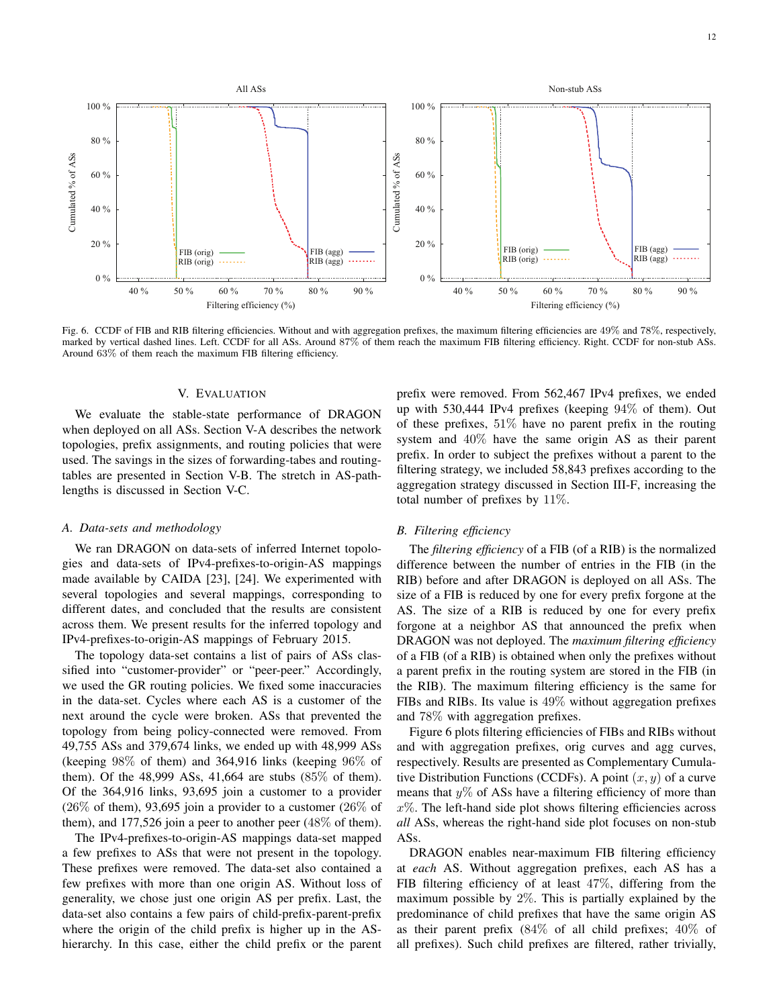

Fig. 6. CCDF of FIB and RIB filtering efficiencies. Without and with aggregation prefixes, the maximum filtering efficiencies are 49% and 78%, respectively, marked by vertical dashed lines. Left. CCDF for all ASs. Around 87% of them reach the maximum FIB filtering efficiency. Right. CCDF for non-stub ASs. Around 63% of them reach the maximum FIB filtering efficiency.

## V. EVALUATION

We evaluate the stable-state performance of DRAGON when deployed on all ASs. Section V-A describes the network topologies, prefix assignments, and routing policies that were used. The savings in the sizes of forwarding-tabes and routingtables are presented in Section V-B. The stretch in AS-pathlengths is discussed in Section V-C.

# *A. Data-sets and methodology*

We ran DRAGON on data-sets of inferred Internet topologies and data-sets of IPv4-prefixes-to-origin-AS mappings made available by CAIDA [23], [24]. We experimented with several topologies and several mappings, corresponding to different dates, and concluded that the results are consistent across them. We present results for the inferred topology and IPv4-prefixes-to-origin-AS mappings of February 2015.

The topology data-set contains a list of pairs of ASs classified into "customer-provider" or "peer-peer." Accordingly, we used the GR routing policies. We fixed some inaccuracies in the data-set. Cycles where each AS is a customer of the next around the cycle were broken. ASs that prevented the topology from being policy-connected were removed. From 49,755 ASs and 379,674 links, we ended up with 48,999 ASs (keeping 98% of them) and 364,916 links (keeping 96% of them). Of the 48,999 ASs, 41,664 are stubs (85% of them). Of the 364,916 links, 93,695 join a customer to a provider  $(26\% \text{ of them})$ , 93,695 join a provider to a customer  $(26\% \text{ of the})$ them), and 177,526 join a peer to another peer (48% of them).

The IPv4-prefixes-to-origin-AS mappings data-set mapped a few prefixes to ASs that were not present in the topology. These prefixes were removed. The data-set also contained a few prefixes with more than one origin AS. Without loss of generality, we chose just one origin AS per prefix. Last, the data-set also contains a few pairs of child-prefix-parent-prefix where the origin of the child prefix is higher up in the AShierarchy. In this case, either the child prefix or the parent

prefix were removed. From 562,467 IPv4 prefixes, we ended up with 530,444 IPv4 prefixes (keeping 94% of them). Out of these prefixes,  $51\%$  have no parent prefix in the routing system and 40% have the same origin AS as their parent prefix. In order to subject the prefixes without a parent to the filtering strategy, we included 58,843 prefixes according to the aggregation strategy discussed in Section III-F, increasing the total number of prefixes by 11%.

# *B. Filtering efficiency*

The *filtering efficiency* of a FIB (of a RIB) is the normalized difference between the number of entries in the FIB (in the RIB) before and after DRAGON is deployed on all ASs. The size of a FIB is reduced by one for every prefix forgone at the AS. The size of a RIB is reduced by one for every prefix forgone at a neighbor AS that announced the prefix when DRAGON was not deployed. The *maximum filtering efficiency* of a FIB (of a RIB) is obtained when only the prefixes without a parent prefix in the routing system are stored in the FIB (in the RIB). The maximum filtering efficiency is the same for FIBs and RIBs. Its value is 49% without aggregation prefixes and 78% with aggregation prefixes.

Figure 6 plots filtering efficiencies of FIBs and RIBs without and with aggregation prefixes, orig curves and agg curves, respectively. Results are presented as Complementary Cumulative Distribution Functions (CCDFs). A point  $(x, y)$  of a curve means that  $\psi$ % of ASs have a filtering efficiency of more than  $x\%$ . The left-hand side plot shows filtering efficiencies across *all* ASs, whereas the right-hand side plot focuses on non-stub ASs.

DRAGON enables near-maximum FIB filtering efficiency at *each* AS. Without aggregation prefixes, each AS has a FIB filtering efficiency of at least 47%, differing from the maximum possible by 2%. This is partially explained by the predominance of child prefixes that have the same origin AS as their parent prefix  $(84\% \text{ of all child prefixes}; 40\% \text{ of }$ all prefixes). Such child prefixes are filtered, rather trivially,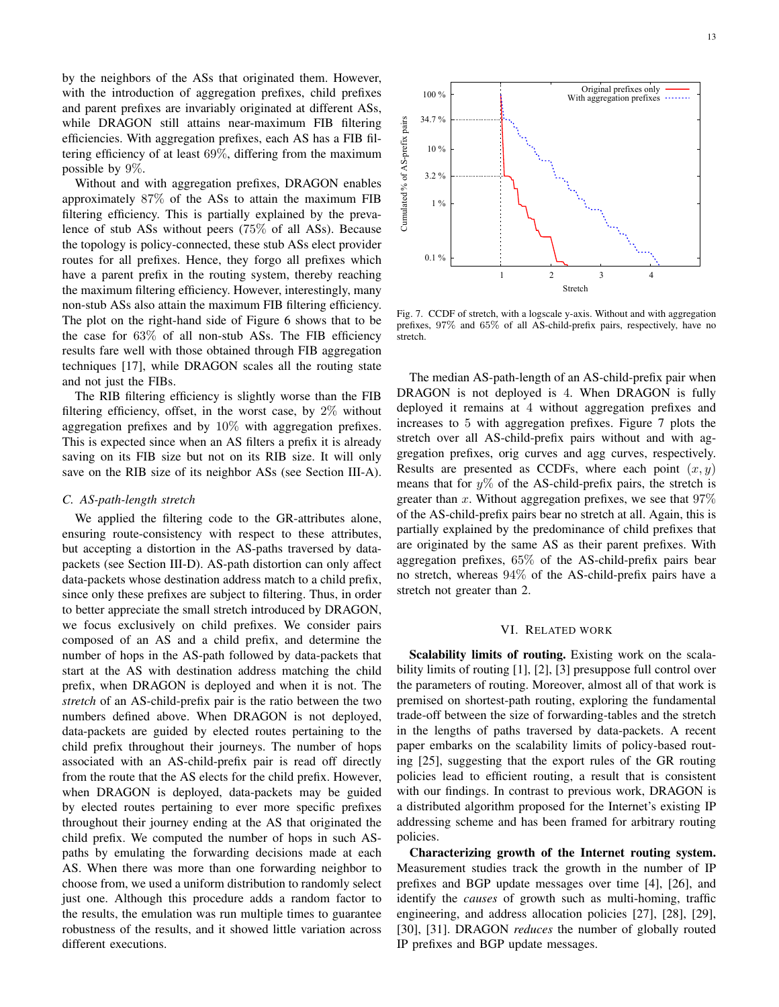by the neighbors of the ASs that originated them. However, with the introduction of aggregation prefixes, child prefixes and parent prefixes are invariably originated at different ASs, while DRAGON still attains near-maximum FIB filtering efficiencies. With aggregation prefixes, each AS has a FIB filtering efficiency of at least 69%, differing from the maximum possible by 9%.

Without and with aggregation prefixes, DRAGON enables approximately 87% of the ASs to attain the maximum FIB filtering efficiency. This is partially explained by the prevalence of stub ASs without peers (75% of all ASs). Because the topology is policy-connected, these stub ASs elect provider routes for all prefixes. Hence, they forgo all prefixes which have a parent prefix in the routing system, thereby reaching the maximum filtering efficiency. However, interestingly, many non-stub ASs also attain the maximum FIB filtering efficiency. The plot on the right-hand side of Figure 6 shows that to be the case for 63% of all non-stub ASs. The FIB efficiency results fare well with those obtained through FIB aggregation techniques [17], while DRAGON scales all the routing state and not just the FIBs.

The RIB filtering efficiency is slightly worse than the FIB filtering efficiency, offset, in the worst case, by 2% without aggregation prefixes and by 10% with aggregation prefixes. This is expected since when an AS filters a prefix it is already saving on its FIB size but not on its RIB size. It will only save on the RIB size of its neighbor ASs (see Section III-A).

# *C. AS-path-length stretch*

We applied the filtering code to the GR-attributes alone, ensuring route-consistency with respect to these attributes, but accepting a distortion in the AS-paths traversed by datapackets (see Section III-D). AS-path distortion can only affect data-packets whose destination address match to a child prefix, since only these prefixes are subject to filtering. Thus, in order to better appreciate the small stretch introduced by DRAGON, we focus exclusively on child prefixes. We consider pairs composed of an AS and a child prefix, and determine the number of hops in the AS-path followed by data-packets that start at the AS with destination address matching the child prefix, when DRAGON is deployed and when it is not. The *stretch* of an AS-child-prefix pair is the ratio between the two numbers defined above. When DRAGON is not deployed, data-packets are guided by elected routes pertaining to the child prefix throughout their journeys. The number of hops associated with an AS-child-prefix pair is read off directly from the route that the AS elects for the child prefix. However, when DRAGON is deployed, data-packets may be guided by elected routes pertaining to ever more specific prefixes throughout their journey ending at the AS that originated the child prefix. We computed the number of hops in such ASpaths by emulating the forwarding decisions made at each AS. When there was more than one forwarding neighbor to choose from, we used a uniform distribution to randomly select just one. Although this procedure adds a random factor to the results, the emulation was run multiple times to guarantee robustness of the results, and it showed little variation across different executions.



Fig. 7. CCDF of stretch, with a logscale y-axis. Without and with aggregation prefixes, 97% and 65% of all AS-child-prefix pairs, respectively, have no stretch.

The median AS-path-length of an AS-child-prefix pair when DRAGON is not deployed is 4. When DRAGON is fully deployed it remains at 4 without aggregation prefixes and increases to 5 with aggregation prefixes. Figure 7 plots the stretch over all AS-child-prefix pairs without and with aggregation prefixes, orig curves and agg curves, respectively. Results are presented as CCDFs, where each point  $(x, y)$ means that for  $y\%$  of the AS-child-prefix pairs, the stretch is greater than x. Without aggregation prefixes, we see that  $97\%$ of the AS-child-prefix pairs bear no stretch at all. Again, this is partially explained by the predominance of child prefixes that are originated by the same AS as their parent prefixes. With aggregation prefixes, 65% of the AS-child-prefix pairs bear no stretch, whereas 94% of the AS-child-prefix pairs have a stretch not greater than 2.

#### VI. RELATED WORK

Scalability limits of routing. Existing work on the scalability limits of routing [1], [2], [3] presuppose full control over the parameters of routing. Moreover, almost all of that work is premised on shortest-path routing, exploring the fundamental trade-off between the size of forwarding-tables and the stretch in the lengths of paths traversed by data-packets. A recent paper embarks on the scalability limits of policy-based routing [25], suggesting that the export rules of the GR routing policies lead to efficient routing, a result that is consistent with our findings. In contrast to previous work, DRAGON is a distributed algorithm proposed for the Internet's existing IP addressing scheme and has been framed for arbitrary routing policies.

Characterizing growth of the Internet routing system. Measurement studies track the growth in the number of IP prefixes and BGP update messages over time [4], [26], and identify the *causes* of growth such as multi-homing, traffic engineering, and address allocation policies [27], [28], [29], [30], [31]. DRAGON *reduces* the number of globally routed IP prefixes and BGP update messages.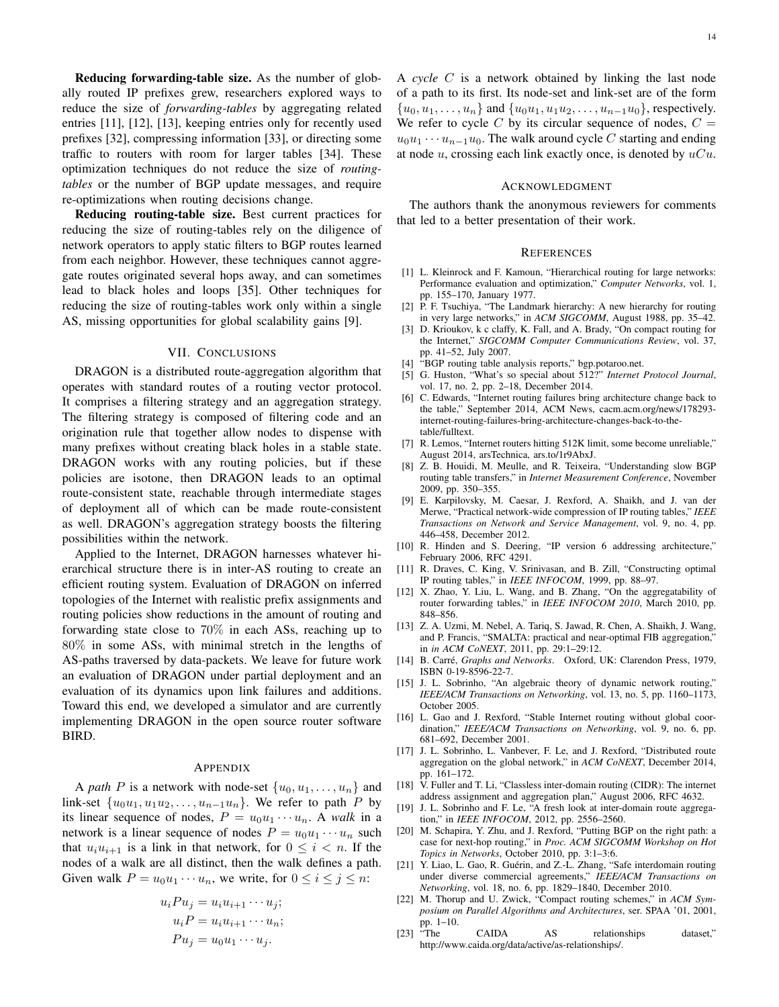Reducing forwarding-table size. As the number of globally routed IP prefixes grew, researchers explored ways to reduce the size of *forwarding-tables* by aggregating related entries [11], [12], [13], keeping entries only for recently used prefixes [32], compressing information [33], or directing some traffic to routers with room for larger tables [34]. These optimization techniques do not reduce the size of *routingtables* or the number of BGP update messages, and require re-optimizations when routing decisions change.

Reducing routing-table size. Best current practices for reducing the size of routing-tables rely on the diligence of network operators to apply static filters to BGP routes learned from each neighbor. However, these techniques cannot aggregate routes originated several hops away, and can sometimes lead to black holes and loops [35]. Other techniques for reducing the size of routing-tables work only within a single AS, missing opportunities for global scalability gains [9].

# VII. CONCLUSIONS

DRAGON is a distributed route-aggregation algorithm that operates with standard routes of a routing vector protocol. It comprises a filtering strategy and an aggregation strategy. The filtering strategy is composed of filtering code and an origination rule that together allow nodes to dispense with many prefixes without creating black holes in a stable state. DRAGON works with any routing policies, but if these policies are isotone, then DRAGON leads to an optimal route-consistent state, reachable through intermediate stages of deployment all of which can be made route-consistent as well. DRAGON's aggregation strategy boosts the filtering possibilities within the network.

Applied to the Internet, DRAGON harnesses whatever hierarchical structure there is in inter-AS routing to create an efficient routing system. Evaluation of DRAGON on inferred topologies of the Internet with realistic prefix assignments and routing policies show reductions in the amount of routing and forwarding state close to 70% in each ASs, reaching up to 80% in some ASs, with minimal stretch in the lengths of AS-paths traversed by data-packets. We leave for future work an evaluation of DRAGON under partial deployment and an evaluation of its dynamics upon link failures and additions. Toward this end, we developed a simulator and are currently implementing DRAGON in the open source router software BIRD.

#### **APPENDIX**

A *path* P is a network with node-set  $\{u_0, u_1, \ldots, u_n\}$  and link-set  $\{u_0u_1, u_1u_2, \ldots, u_{n-1}u_n\}$ . We refer to path P by its linear sequence of nodes,  $P = u_0 u_1 \cdots u_n$ . A *walk* in a network is a linear sequence of nodes  $P = u_0u_1 \cdots u_n$  such that  $u_i u_{i+1}$  is a link in that network, for  $0 \leq i \leq n$ . If the nodes of a walk are all distinct, then the walk defines a path. Given walk  $P = u_0 u_1 \cdots u_n$ , we write, for  $0 \le i \le j \le n$ :

$$
u_i P u_j = u_i u_{i+1} \cdots u_j;
$$
  
\n
$$
u_i P = u_i u_{i+1} \cdots u_n;
$$
  
\n
$$
P u_j = u_0 u_1 \cdots u_j.
$$

A *cycle* C is a network obtained by linking the last node of a path to its first. Its node-set and link-set are of the form  $\{u_0, u_1, \ldots, u_n\}$  and  $\{u_0u_1, u_1u_2, \ldots, u_{n-1}u_0\}$ , respectively. We refer to cycle C by its circular sequence of nodes,  $C =$  $u_0u_1 \cdots u_{n-1}u_0$ . The walk around cycle C starting and ending at node u, crossing each link exactly once, is denoted by  $uCu$ .

#### ACKNOWLEDGMENT

The authors thank the anonymous reviewers for comments that led to a better presentation of their work.

#### **REFERENCES**

- [1] L. Kleinrock and F. Kamoun, "Hierarchical routing for large networks: Performance evaluation and optimization," *Computer Networks*, vol. 1, pp. 155–170, January 1977.
- [2] P. F. Tsuchiya, "The Landmark hierarchy: A new hierarchy for routing in very large networks," in *ACM SIGCOMM*, August 1988, pp. 35–42.
- [3] D. Krioukov, k c claffy, K. Fall, and A. Brady, "On compact routing for the Internet," *SIGCOMM Computer Communications Review*, vol. 37, pp. 41–52, July 2007.
- [4] "BGP routing table analysis reports," bgp.potaroo.net.
- [5] G. Huston, "What's so special about 512?" *Internet Protocol Journal*, vol. 17, no. 2, pp. 2–18, December 2014.
- [6] C. Edwards, "Internet routing failures bring architecture change back to the table," September 2014, ACM News, cacm.acm.org/news/178293 internet-routing-failures-bring-architecture-changes-back-to-thetable/fulltext.
- [7] R. Lemos, "Internet routers hitting 512K limit, some become unreliable," August 2014, arsTechnica, ars.to/1r9AbxJ.
- [8] Z. B. Houidi, M. Meulle, and R. Teixeira, "Understanding slow BGP routing table transfers," in *Internet Measurement Conference*, November 2009, pp. 350–355.
- [9] E. Karpilovsky, M. Caesar, J. Rexford, A. Shaikh, and J. van der Merwe, "Practical network-wide compression of IP routing tables," *IEEE Transactions on Network and Service Management*, vol. 9, no. 4, pp. 446–458, December 2012.
- [10] R. Hinden and S. Deering, "IP version 6 addressing architecture," February 2006, RFC 4291.
- [11] R. Draves, C. King, V. Srinivasan, and B. Zill, "Constructing optimal IP routing tables," in *IEEE INFOCOM*, 1999, pp. 88–97.
- [12] X. Zhao, Y. Liu, L. Wang, and B. Zhang, "On the aggregatability of router forwarding tables," in *IEEE INFOCOM 2010*, March 2010, pp. 848–856.
- [13] Z. A. Uzmi, M. Nebel, A. Tariq, S. Jawad, R. Chen, A. Shaikh, J. Wang, and P. Francis, "SMALTA: practical and near-optimal FIB aggregation," in *in ACM CoNEXT*, 2011, pp. 29:1–29:12.
- [14] B. Carré, *Graphs and Networks*. Oxford, UK: Clarendon Press, 1979, ISBN 0-19-8596-22-7.
- [15] J. L. Sobrinho, "An algebraic theory of dynamic network routing," *IEEE/ACM Transactions on Networking*, vol. 13, no. 5, pp. 1160–1173, October 2005.
- [16] L. Gao and J. Rexford, "Stable Internet routing without global coordination," *IEEE/ACM Transactions on Networking*, vol. 9, no. 6, pp. 681–692, December 2001.
- [17] J. L. Sobrinho, L. Vanbever, F. Le, and J. Rexford, "Distributed route aggregation on the global network," in *ACM CoNEXT*, December 2014, pp. 161–172.
- [18] V. Fuller and T. Li, "Classless inter-domain routing (CIDR): The internet address assignment and aggregation plan," August 2006, RFC 4632.
- [19] J. L. Sobrinho and F. Le, "A fresh look at inter-domain route aggregation," in *IEEE INFOCOM*, 2012, pp. 2556–2560.
- [20] M. Schapira, Y. Zhu, and J. Rexford, "Putting BGP on the right path: a case for next-hop routing," in *Proc. ACM SIGCOMM Workshop on Hot Topics in Networks*, October 2010, pp. 3:1–3:6.
- [21] Y. Liao, L. Gao, R. Guérin, and Z.-L. Zhang, "Safe interdomain routing under diverse commercial agreements," *IEEE/ACM Transactions on Networking*, vol. 18, no. 6, pp. 1829–1840, December 2010.
- [22] M. Thorup and U. Zwick, "Compact routing schemes," in *ACM Symposium on Parallel Algorithms and Architectures*, ser. SPAA '01, 2001, pp. 1–10.
- [23] "The CAIDA AS relationships dataset," http://www.caida.org/data/active/as-relationships/.